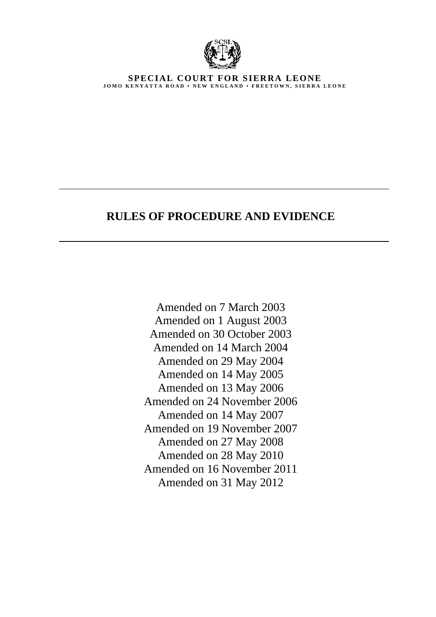

**SPECIAL COURT FOR SIERRA LEONE JOMO KENYATTA ROAD • NEW ENGLAND • FREETOWN, SIERRA LEONE** 

# **RULES OF PROCEDURE AND EVIDENCE**

Amended on 7 March 2003 Amended on 1 August 2003 Amended on 30 October 2003 Amended on 14 March 2004 Amended on 29 May 2004 Amended on 14 May 2005 Amended on 13 May 2006 Amended on 24 November 2006 Amended on 14 May 2007 Amended on 19 November 2007 Amended on 27 May 2008 Amended on 28 May 2010 Amended on 16 November 2011 Amended on 31 May 2012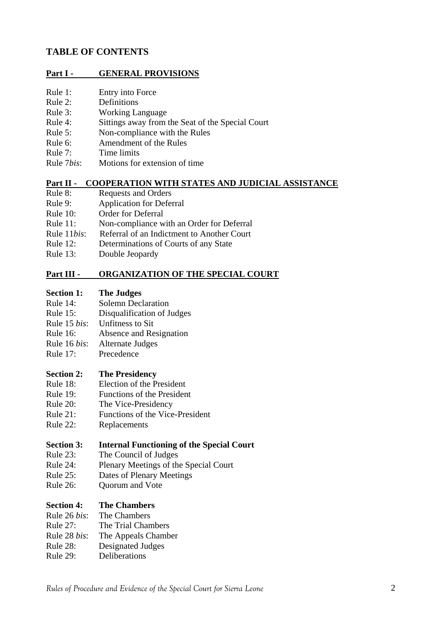# **TABLE OF CONTENTS**

## Part I - GENERAL PROVISIONS

- Rule 1: Entry into Force
- Rule 2: Definitions
- Rule 3: Working Language
- Rule 4: Sittings away from the Seat of the Special Court
- Rule 5: Non-compliance with the Rules
- Rule 6: Amendment of the Rules
- Rule 7: Time limits
- Rule 7*bis*: Motions for extension of time

#### **Part II - COOPERATION WITH STATES AND JUDICIAL ASSISTANCE**

- Rule 8: Requests and Orders
- Rule 9: Application for Deferral
- Rule 10: Order for Deferral
- Rule 11: Non-compliance with an Order for Deferral
- Rule 11*bis*: Referral of an Indictment to Another Court
- Rule 12: Determinations of Courts of any State
- Rule 13: Double Jeopardy

## **Part III - ORGANIZATION OF THE SPECIAL COURT**

## **Section 1: The Judges**

- Rule 14: Solemn Declaration
- Rule 15: Disqualification of Judges
- Rule 15 *bis*: Unfitness to Sit
- Rule 16: Absence and Resignation
- Rule 16 *bis*: Alternate Judges
- Rule 17: Precedence

#### **Section 2: The Presidency**

- Rule 18: Election of the President
- Rule 19: Functions of the President
- Rule 20: The Vice-Presidency
- Rule 21: Functions of the Vice-President
- Rule 22: Replacements

## **Section 3: Internal Functioning of the Special Court**

- Rule 23: The Council of Judges
- Rule 24: Plenary Meetings of the Special Court
- Rule 25: Dates of Plenary Meetings
- Rule 26: Ouorum and Vote

## **Section 4: The Chambers**

- Rule 26 *bis*: The Chambers
- Rule 27: The Trial Chambers
- Rule 28 *bis*: The Appeals Chamber
- Rule 28: Designated Judges
- Rule 29: Deliberations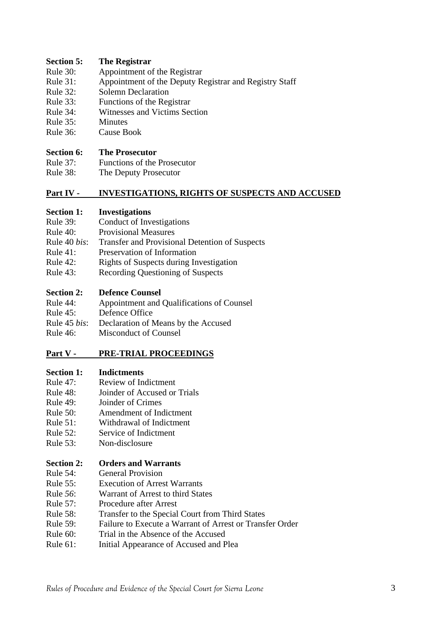## **Section 5: The Registrar**

- Rule 30: Appointment of the Registrar
- Rule 31: Appointment of the Deputy Registrar and Registry Staff
- Rule 32: Solemn Declaration
- Rule 33: Functions of the Registrar
- Rule 34: Witnesses and Victims Section
- Rule 35: Minutes
- Rule 36: Cause Book

## **Section 6: The Prosecutor**

Rule 37: Functions of the Prosecutor

Rule 38: The Deputy Prosecutor

#### **Part IV - INVESTIGATIONS, RIGHTS OF SUSPECTS AND ACCUSED**

| <b>Section 1:</b> | <b>Investigations</b> |
|-------------------|-----------------------|
|                   |                       |

| <b>Rule 39:</b> | Conduct of Investigations |
|-----------------|---------------------------|
|-----------------|---------------------------|

- Rule 40: Provisional Measures
- Rule 40 *bis*: Transfer and Provisional Detention of Suspects
- Rule 41: Preservation of Information
- Rule 42: Rights of Suspects during Investigation
- Rule 43: Recording Questioning of Suspects

#### **Section 2: Defence Counsel**

| Rule $44$ :  | Appointment and Qualifications of Counsel |
|--------------|-------------------------------------------|
| Rule $45:$   | Defence Office                            |
| Rule 45 bis: | Declaration of Means by the Accused       |
| Rule 46:     | Misconduct of Counsel                     |
|              |                                           |

#### **Part V - PRE-TRIAL PROCEEDINGS**

#### **Section 1: Indictments**

- Rule 47: Review of Indictment
- Rule 48: Joinder of Accused or Trials
- Rule 49: Joinder of Crimes
- Rule 50: Amendment of Indictment
- Rule 51: Withdrawal of Indictment
- Rule 52: Service of Indictment
- Rule 53: Non-disclosure

#### **Section 2: Orders and Warrants**

- Rule 54: General Provision
- Rule 55: Execution of Arrest Warrants
- Rule *56*: Warrant of Arrest to third States
- Rule 57: Procedure after Arrest
- Rule 58: Transfer to the Special Court from Third States
- Rule 59: Failure to Execute a Warrant of Arrest or Transfer Order
- Rule 60: Trial in the Absence of the Accused
- Rule 61: Initial Appearance of Accused and Plea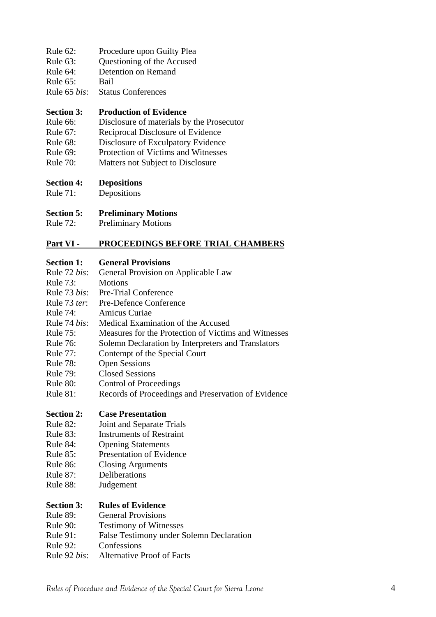| Rule $62$ : | Procedure upon Guilty Plea |
|-------------|----------------------------|
| Rule 63:    | Questioning of the Accused |

Rule 64: Detention on Remand

Rule 65: Bail

Rule 65 *bis*: Status Conferences

## **Section 3: Production of Evidence**

- Rule 66: Disclosure of materials by the Prosecutor
- Rule 67: Reciprocal Disclosure of Evidence
- Rule 68: Disclosure of Exculpatory Evidence
- Rule 69: Protection of Victims and Witnesses
- Rule 70: Matters not Subject to Disclosure

## **Section 4: Depositions**

Rule 71: Depositions

## **Section 5: Preliminary Motions**

Rule 72: Preliminary Motions

## **Part VI - PROCEEDINGS BEFORE TRIAL CHAMBERS**

#### **Section 1: General Provisions**

- Rule 72 *bis*: General Provision on Applicable Law
- Rule 73: Motions
- Rule 73 *bis*: Pre-Trial Conference
- Rule 73 *ter*: Pre-Defence Conference
- Rule 74: Amicus Curiae
- Rule 74 *bis*: Medical Examination of the Accused
- Rule 75: Measures for the Protection of Victims and Witnesses
- Rule 76: Solemn Declaration by Interpreters and Translators
- Rule 77: Contempt of the Special Court
- Rule 78: Open Sessions
- Rule 79: Closed Sessions
- Rule 80: Control of Proceedings
- Rule 81: Records of Proceedings and Preservation of Evidence

## **Section 2: Case Presentation**

- Rule 82: Joint and Separate Trials
- Rule 83: Instruments of Restraint
- Rule 84: Opening Statements
- Rule 85: Presentation of Evidence
- Rule 86: Closing Arguments
- Rule 87: Deliberations
- Rule 88: Judgement

#### **Section 3: Rules of Evidence**

- Rule 89: General Provisions
- Rule 90: Testimony of Witnesses
- Rule 91: False Testimony under Solemn Declaration
- Rule 92: Confessions
- Rule 92 *bis*: Alternative Proof of Facts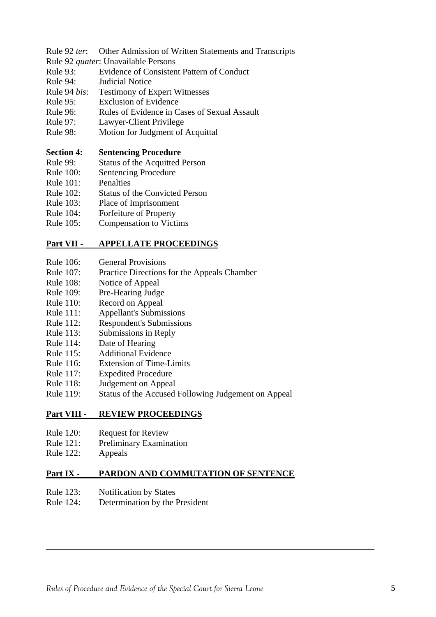- Rule 92 *ter*: Other Admission of Written Statements and Transcripts
- Rule 92 *quater*: Unavailable Persons
- Rule 93: Evidence of Consistent Pattern of Conduct
- Rule 94: Judicial Notice
- Rule 94 *bis*: Testimony of Expert Witnesses
- Rule 95: Exclusion of Evidence
- Rule 96: Rules of Evidence in Cases of Sexual Assault
- Rule 97: Lawyer-Client Privilege
- Rule 98: Motion for Judgment of Acquittal

## **Section 4: Sentencing Procedure**

- Rule 99: Status of the Acquitted Person
- Rule 100: Sentencing Procedure
- Rule 101: Penalties
- Rule 102: Status of the Convicted Person
- Rule 103: Place of Imprisonment
- Rule 104: Forfeiture of Property
- Rule 105: Compensation to Victims

## **Part VII - APPELLATE PROCEEDINGS**

- Rule 106: General Provisions
- Rule 107: Practice Directions for the Appeals Chamber
- Rule 108: Notice of Appeal
- Rule 109: Pre-Hearing Judge
- Rule 110: Record on Appeal
- Rule 111: Appellant's Submissions
- Rule 112: Respondent's Submissions
- Rule 113: Submissions in Reply
- Rule 114: Date of Hearing
- Rule 115: Additional Evidence
- Rule 116: Extension of Time-Limits
- Rule 117: Expedited Procedure
- Rule 118: Judgement on Appeal
- Rule 119: Status of the Accused Following Judgement on Appeal

## **Part VIII - REVIEW PROCEEDINGS**

- Rule 120: Request for Review
- Rule 121: Preliminary Examination
- Rule 122: Appeals

## **Part IX - PARDON AND COMMUTATION OF SENTENCE**

**\_\_\_\_\_\_\_\_\_\_\_\_\_\_\_\_\_\_\_\_\_\_\_\_\_\_\_\_\_\_\_\_\_\_\_\_\_\_\_\_\_\_\_\_\_\_\_\_\_\_\_\_\_\_\_\_\_\_\_\_\_\_\_\_\_\_\_\_\_** 

- Rule 123: Notification by States
- Rule 124: Determination by the President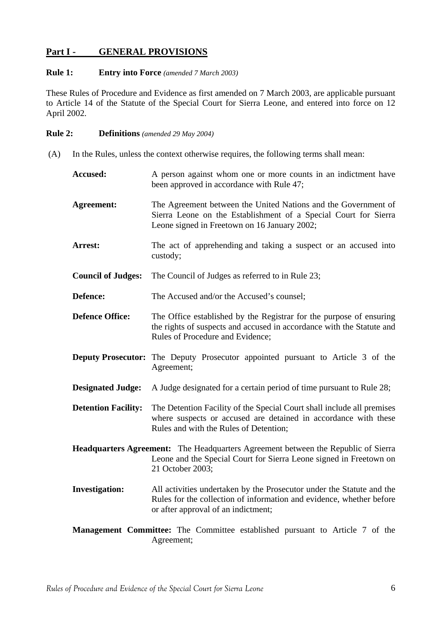# Part I - GENERAL PROVISIONS

#### **Rule 1: Entry into Force** *(amended 7 March 2003)*

These Rules of Procedure and Evidence as first amended on 7 March 2003, are applicable pursuant to Article 14 of the Statute of the Special Court for Sierra Leone, and entered into force on 12 April 2002.

## **Rule 2: Definitions** *(amended 29 May 2004)*

(A) In the Rules, unless the context otherwise requires, the following terms shall mean:

| Accused:                                                                                                                                                                           | A person against whom one or more counts in an indictment have<br>been approved in accordance with Rule 47;                                                                          |
|------------------------------------------------------------------------------------------------------------------------------------------------------------------------------------|--------------------------------------------------------------------------------------------------------------------------------------------------------------------------------------|
| <b>Agreement:</b>                                                                                                                                                                  | The Agreement between the United Nations and the Government of<br>Sierra Leone on the Establishment of a Special Court for Sierra<br>Leone signed in Freetown on 16 January 2002;    |
| Arrest:                                                                                                                                                                            | The act of apprehending and taking a suspect or an accused into<br>custody;                                                                                                          |
| <b>Council of Judges:</b>                                                                                                                                                          | The Council of Judges as referred to in Rule 23;                                                                                                                                     |
| Defence:                                                                                                                                                                           | The Accused and/or the Accused's counsel;                                                                                                                                            |
| <b>Defence Office:</b>                                                                                                                                                             | The Office established by the Registrar for the purpose of ensuring<br>the rights of suspects and accused in accordance with the Statute and<br>Rules of Procedure and Evidence;     |
|                                                                                                                                                                                    | <b>Deputy Prosecutor:</b> The Deputy Prosecutor appointed pursuant to Article 3 of the<br>Agreement;                                                                                 |
| <b>Designated Judge:</b>                                                                                                                                                           | A Judge designated for a certain period of time pursuant to Rule 28;                                                                                                                 |
| <b>Detention Facility:</b>                                                                                                                                                         | The Detention Facility of the Special Court shall include all premises<br>where suspects or accused are detained in accordance with these<br>Rules and with the Rules of Detention;  |
| <b>Headquarters Agreement:</b> The Headquarters Agreement between the Republic of Sierra<br>Leone and the Special Court for Sierra Leone signed in Freetown on<br>21 October 2003; |                                                                                                                                                                                      |
| <b>Investigation:</b>                                                                                                                                                              | All activities undertaken by the Prosecutor under the Statute and the<br>Rules for the collection of information and evidence, whether before<br>or after approval of an indictment; |
|                                                                                                                                                                                    | <b>Management Committee:</b> The Committee established pursuant to Article 7 of the                                                                                                  |

Agreement;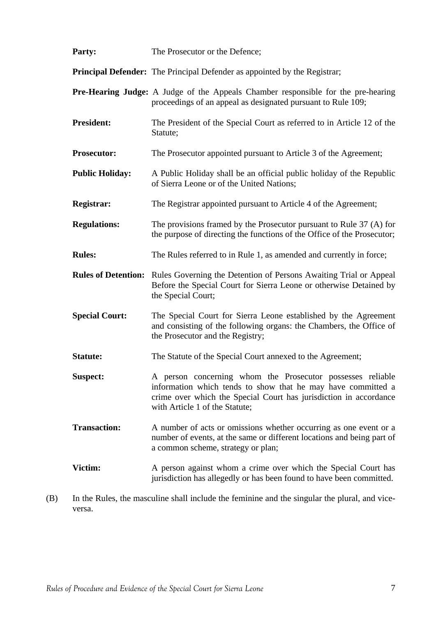| Party:                 | The Prosecutor or the Defence;                                                                                                                                                                                                    |
|------------------------|-----------------------------------------------------------------------------------------------------------------------------------------------------------------------------------------------------------------------------------|
|                        | <b>Principal Defender:</b> The Principal Defender as appointed by the Registrar;                                                                                                                                                  |
|                        | <b>Pre-Hearing Judge:</b> A Judge of the Appeals Chamber responsible for the pre-hearing<br>proceedings of an appeal as designated pursuant to Rule 109;                                                                          |
| <b>President:</b>      | The President of the Special Court as referred to in Article 12 of the<br>Statute;                                                                                                                                                |
| <b>Prosecutor:</b>     | The Prosecutor appointed pursuant to Article 3 of the Agreement;                                                                                                                                                                  |
| <b>Public Holiday:</b> | A Public Holiday shall be an official public holiday of the Republic<br>of Sierra Leone or of the United Nations;                                                                                                                 |
| <b>Registrar:</b>      | The Registrar appointed pursuant to Article 4 of the Agreement;                                                                                                                                                                   |
| <b>Regulations:</b>    | The provisions framed by the Prosecutor pursuant to Rule 37 (A) for<br>the purpose of directing the functions of the Office of the Prosecutor;                                                                                    |
| <b>Rules:</b>          | The Rules referred to in Rule 1, as amended and currently in force;                                                                                                                                                               |
|                        | Rules of Detention: Rules Governing the Detention of Persons Awaiting Trial or Appeal<br>Before the Special Court for Sierra Leone or otherwise Detained by<br>the Special Court;                                                 |
| <b>Special Court:</b>  | The Special Court for Sierra Leone established by the Agreement<br>and consisting of the following organs: the Chambers, the Office of<br>the Prosecutor and the Registry;                                                        |
| <b>Statute:</b>        | The Statute of the Special Court annexed to the Agreement;                                                                                                                                                                        |
| <b>Suspect:</b>        | A person concerning whom the Prosecutor possesses reliable<br>information which tends to show that he may have committed a<br>crime over which the Special Court has jurisdiction in accordance<br>with Article 1 of the Statute; |
| <b>Transaction:</b>    | A number of acts or omissions whether occurring as one event or a<br>number of events, at the same or different locations and being part of<br>a common scheme, strategy or plan;                                                 |
| Victim:                | A person against whom a crime over which the Special Court has<br>jurisdiction has allegedly or has been found to have been committed.                                                                                            |

(B) In the Rules, the masculine shall include the feminine and the singular the plural, and viceversa.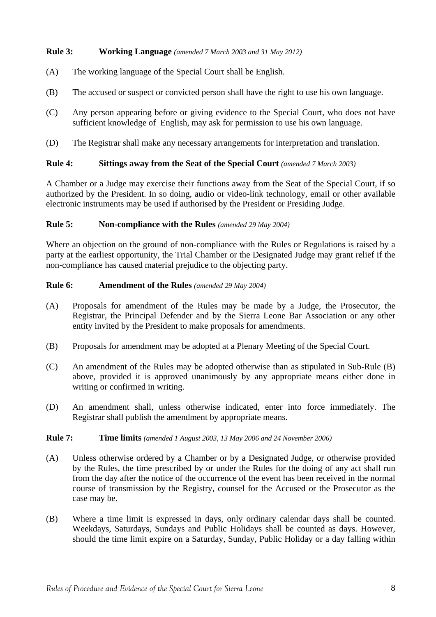## **Rule 3: Working Language** *(amended 7 March 2003 and 31 May 2012)*

- (A) The working language of the Special Court shall be English.
- (B) The accused or suspect or convicted person shall have the right to use his own language.
- (C) Any person appearing before or giving evidence to the Special Court, who does not have sufficient knowledge of English, may ask for permission to use his own language.
- (D) The Registrar shall make any necessary arrangements for interpretation and translation.

## **Rule 4:** Sittings away from the Seat of the Special Court *(amended 7 March 2003)*

A Chamber or a Judge may exercise their functions away from the Seat of the Special Court, if so authorized by the President. In so doing, audio or video-link technology, email or other available electronic instruments may be used if authorised by the President or Presiding Judge.

#### **Rule 5: Non-compliance with the Rules** *(amended 29 May 2004)*

Where an objection on the ground of non-compliance with the Rules or Regulations is raised by a party at the earliest opportunity, the Trial Chamber or the Designated Judge may grant relief if the non-compliance has caused material prejudice to the objecting party.

#### **Rule 6:** Amendment of the Rules *(amended 29 May 2004)*

- (A) Proposals for amendment of the Rules may be made by a Judge, the Prosecutor, the Registrar, the Principal Defender and by the Sierra Leone Bar Association or any other entity invited by the President to make proposals for amendments.
- (B) Proposals for amendment may be adopted at a Plenary Meeting of the Special Court.
- (C) An amendment of the Rules may be adopted otherwise than as stipulated in Sub-Rule (B) above, provided it is approved unanimously by any appropriate means either done in writing or confirmed in writing.
- (D) An amendment shall, unless otherwise indicated, enter into force immediately. The Registrar shall publish the amendment by appropriate means.

## **Rule 7: Time limits** *(amended 1 August 2003, 13 May 2006 and 24 November 2006)*

- (A) Unless otherwise ordered by a Chamber or by a Designated Judge, or otherwise provided by the Rules, the time prescribed by or under the Rules for the doing of any act shall run from the day after the notice of the occurrence of the event has been received in the normal course of transmission by the Registry, counsel for the Accused or the Prosecutor as the case may be.
- (B) Where a time limit is expressed in days, only ordinary calendar days shall be counted. Weekdays, Saturdays, Sundays and Public Holidays shall be counted as days. However, should the time limit expire on a Saturday, Sunday, Public Holiday or a day falling within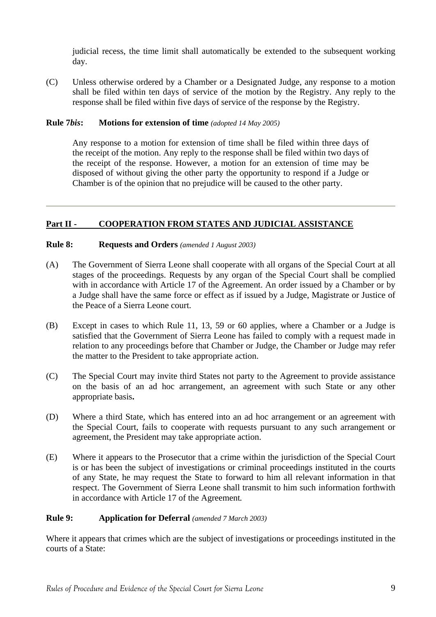judicial recess, the time limit shall automatically be extended to the subsequent working day.

(C) Unless otherwise ordered by a Chamber or a Designated Judge, any response to a motion shall be filed within ten days of service of the motion by the Registry. Any reply to the response shall be filed within five days of service of the response by the Registry.

### **Rule 7***bis***: Motions for extension of time** *(adopted 14 May 2005)*

Any response to a motion for extension of time shall be filed within three days of the receipt of the motion. Any reply to the response shall be filed within two days of the receipt of the response. However, a motion for an extension of time may be disposed of without giving the other party the opportunity to respond if a Judge or Chamber is of the opinion that no prejudice will be caused to the other party.

## **Part II - COOPERATION FROM STATES AND JUDICIAL ASSISTANCE**

### **Rule 8: Requests and Orders** *(amended 1 August 2003)*

- (A) The Government of Sierra Leone shall cooperate with all organs of the Special Court at all stages of the proceedings. Requests by any organ of the Special Court shall be complied with in accordance with Article 17 of the Agreement. An order issued by a Chamber or by a Judge shall have the same force or effect as if issued by a Judge, Magistrate or Justice of the Peace of a Sierra Leone court.
- (B) Except in cases to which Rule 11, 13, 59 or 60 applies, where a Chamber or a Judge is satisfied that the Government of Sierra Leone has failed to comply with a request made in relation to any proceedings before that Chamber or Judge, the Chamber or Judge may refer the matter to the President to take appropriate action.
- (C) The Special Court may invite third States not party to the Agreement to provide assistance on the basis of an ad hoc arrangement, an agreement with such State or any other appropriate basis**.**
- (D) Where a third State, which has entered into an ad hoc arrangement or an agreement with the Special Court, fails to cooperate with requests pursuant to any such arrangement or agreement, the President may take appropriate action.
- (E) Where it appears to the Prosecutor that a crime within the jurisdiction of the Special Court is or has been the subject of investigations or criminal proceedings instituted in the courts of any State, he may request the State to forward to him all relevant information in that respect. The Government of Sierra Leone shall transmit to him such information forthwith in accordance with Article 17 of the Agreement*.*

#### **Rule 9: Application for Deferral** *(amended 7 March 2003)*

Where it appears that crimes which are the subject of investigations or proceedings instituted in the courts of a State: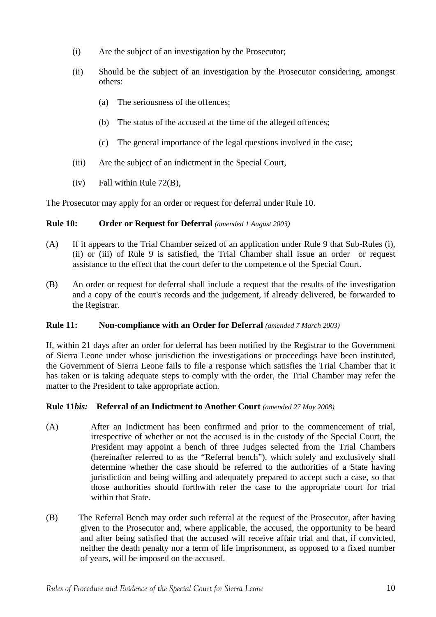- (i) Are the subject of an investigation by the Prosecutor;
- (ii) Should be the subject of an investigation by the Prosecutor considering, amongst others:
	- (a) The seriousness of the offences;
	- (b) The status of the accused at the time of the alleged offences;
	- (c) The general importance of the legal questions involved in the case;
- (iii) Are the subject of an indictment in the Special Court,
- (iv) Fall within Rule 72(B),

The Prosecutor may apply for an order or request for deferral under Rule 10.

## **Rule 10: Order or Request for Deferral** *(amended 1 August 2003)*

- (A) If it appears to the Trial Chamber seized of an application under Rule 9 that Sub-Rules (i), (ii) or (iii) of Rule 9 is satisfied, the Trial Chamber shall issue an order or request assistance to the effect that the court defer to the competence of the Special Court.
- (B) An order or request for deferral shall include a request that the results of the investigation and a copy of the court's records and the judgement, if already delivered, be forwarded to the Registrar.

#### **Rule 11: Non-compliance with an Order for Deferral** *(amended 7 March 2003)*

If, within 21 days after an order for deferral has been notified by the Registrar to the Government of Sierra Leone under whose jurisdiction the investigations or proceedings have been instituted, the Government of Sierra Leone fails to file a response which satisfies the Trial Chamber that it has taken or is taking adequate steps to comply with the order, the Trial Chamber may refer the matter to the President to take appropriate action.

#### **Rule 11***bis:* **Referral of an Indictment to Another Court** *(amended 27 May 2008)*

- (A)After an Indictment has been confirmed and prior to the commencement of trial, irrespective of whether or not the accused is in the custody of the Special Court, the President may appoint a bench of three Judges selected from the Trial Chambers (hereinafter referred to as the "Referral bench"), which solely and exclusively shall determine whether the case should be referred to the authorities of a State having jurisdiction and being willing and adequately prepared to accept such a case, so that those authorities should forthwith refer the case to the appropriate court for trial within that State.
- (B)The Referral Bench may order such referral at the request of the Prosecutor, after having given to the Prosecutor and, where applicable, the accused, the opportunity to be heard and after being satisfied that the accused will receive affair trial and that, if convicted, neither the death penalty nor a term of life imprisonment, as opposed to a fixed number of years, will be imposed on the accused.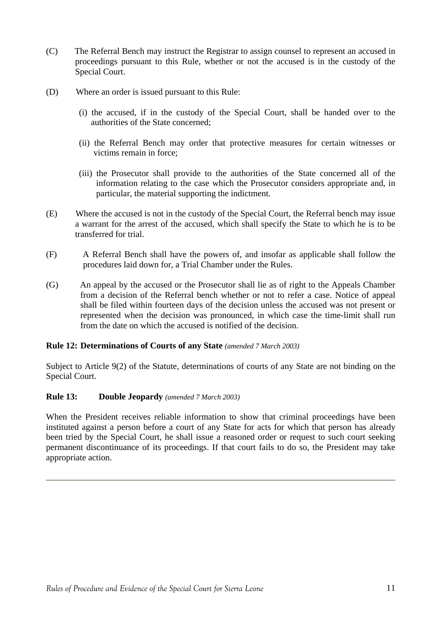- (C) The Referral Bench may instruct the Registrar to assign counsel to represent an accused in proceedings pursuant to this Rule, whether or not the accused is in the custody of the Special Court.
- (D) Where an order is issued pursuant to this Rule:
	- (i) the accused, if in the custody of the Special Court, shall be handed over to the authorities of the State concerned;
	- (ii) the Referral Bench may order that protective measures for certain witnesses or victims remain in force;
	- (iii) the Prosecutor shall provide to the authorities of the State concerned all of the information relating to the case which the Prosecutor considers appropriate and, in particular, the material supporting the indictment.
- (E) Where the accused is not in the custody of the Special Court, the Referral bench may issue a warrant for the arrest of the accused, which shall specify the State to which he is to be transferred for trial.
- (F) A Referral Bench shall have the powers of, and insofar as applicable shall follow the procedures laid down for, a Trial Chamber under the Rules.
- (G) An appeal by the accused or the Prosecutor shall lie as of right to the Appeals Chamber from a decision of the Referral bench whether or not to refer a case. Notice of appeal shall be filed within fourteen days of the decision unless the accused was not present or represented when the decision was pronounced, in which case the time-limit shall run from the date on which the accused is notified of the decision.

#### **Rule 12: Determinations of Courts of any State** *(amended 7 March 2003)*

Subject to Article 9(2) of the Statute, determinations of courts of any State are not binding on the Special Court.

#### **Rule 13: Double Jeopardy** *(amended 7 March 2003)*

When the President receives reliable information to show that criminal proceedings have been instituted against a person before a court of any State for acts for which that person has already been tried by the Special Court, he shall issue a reasoned order or request to such court seeking permanent discontinuance of its proceedings. If that court fails to do so, the President may take appropriate action.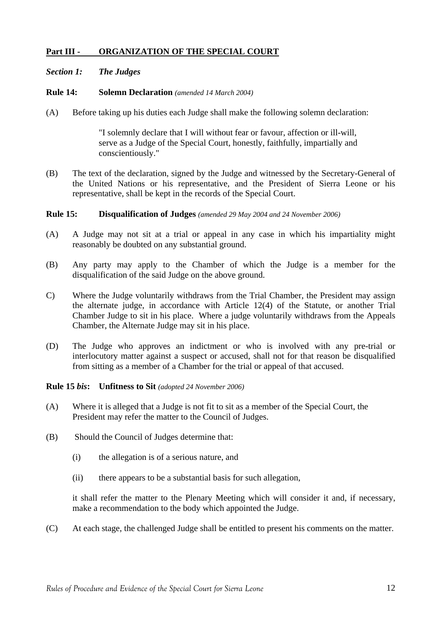## **Part III - ORGANIZATION OF THE SPECIAL COURT**

## *Section 1: The Judges*

#### **Rule 14: Solemn Declaration** *(amended 14 March 2004)*

(A) Before taking up his duties each Judge shall make the following solemn declaration:

"I solemnly declare that I will without fear or favour, affection or ill-will, serve as a Judge of the Special Court, honestly, faithfully, impartially and conscientiously."

(B) The text of the declaration, signed by the Judge and witnessed by the Secretary-General of the United Nations or his representative, and the President of Sierra Leone or his representative, shall be kept in the records of the Special Court.

#### **Rule 15: Disqualification of Judges** *(amended 29 May 2004 and 24 November 2006)*

- (A) A Judge may not sit at a trial or appeal in any case in which his impartiality might reasonably be doubted on any substantial ground.
- (B) Any party may apply to the Chamber of which the Judge is a member for the disqualification of the said Judge on the above ground.
- C) Where the Judge voluntarily withdraws from the Trial Chamber, the President may assign the alternate judge, in accordance with Article 12(4) of the Statute, or another Trial Chamber Judge to sit in his place. Where a judge voluntarily withdraws from the Appeals Chamber, the Alternate Judge may sit in his place.
- (D) The Judge who approves an indictment or who is involved with any pre-trial or interlocutory matter against a suspect or accused, shall not for that reason be disqualified from sitting as a member of a Chamber for the trial or appeal of that accused.

### **Rule 15** *bis***: Unfitness to Sit** *(adopted 24 November 2006)*

- (A) Where it is alleged that a Judge is not fit to sit as a member of the Special Court, the President may refer the matter to the Council of Judges.
- (B) Should the Council of Judges determine that:
	- (i) the allegation is of a serious nature, and
	- (ii) there appears to be a substantial basis for such allegation,

it shall refer the matter to the Plenary Meeting which will consider it and, if necessary, make a recommendation to the body which appointed the Judge.

(C) At each stage, the challenged Judge shall be entitled to present his comments on the matter.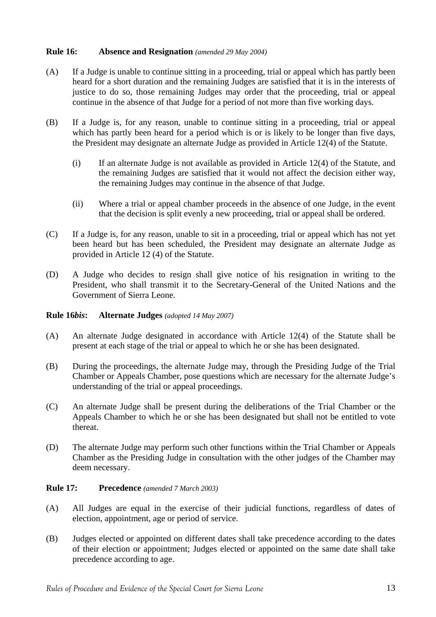## **Rule 16:****Absence and Resignation** *(amended 29 May 2004)*

- (A) If a Judge is unable to continue sitting in a proceeding, trial or appeal which has partly been heard for a short duration and the remaining Judges are satisfied that it is in the interests of justice to do so, those remaining Judges may order that the proceeding, trial or appeal continue in the absence of that Judge for a period of not more than five working days.
- (B) If a Judge is, for any reason, unable to continue sitting in a proceeding, trial or appeal which has partly been heard for a period which is or is likely to be longer than five days, the President may designate an alternate Judge as provided in Article 12(4) of the Statute.
	- (i) If an alternate Judge is not available as provided in Article 12(4) of the Statute, and the remaining Judges are satisfied that it would not affect the decision either way, the remaining Judges may continue in the absence of that Judge.
	- (ii) Where a trial or appeal chamber proceeds in the absence of one Judge, in the event that the decision is split evenly a new proceeding, trial or appeal shall be ordered.
- (C) If a Judge is, for any reason, unable to sit in a proceeding, trial or appeal which has not yet been heard but has been scheduled, the President may designate an alternate Judge as provided in Article 12 (4) of the Statute.
- (D) A Judge who decides to resign shall give notice of his resignation in writing to the President, who shall transmit it to the Secretary-General of the United Nations and the Government of Sierra Leone.

#### **Rule 16***bis***: Alternate Judges** *(adopted 14 May 2007)*

- (A) An alternate Judge designated in accordance with Article 12(4) of the Statute shall be present at each stage of the trial or appeal to which he or she has been designated.
- (B) During the proceedings, the alternate Judge may, through the Presiding Judge of the Trial Chamber or Appeals Chamber, pose questions which are necessary for the alternate Judge's understanding of the trial or appeal proceedings.
- (C) An alternate Judge shall be present during the deliberations of the Trial Chamber or the Appeals Chamber to which he or she has been designated but shall not be entitled to vote thereat.
- (D) The alternate Judge may perform such other functions within the Trial Chamber or Appeals Chamber as the Presiding Judge in consultation with the other judges of the Chamber may deem necessary.

#### **Rule 17: Precedence** *(amended 7 March 2003)*

- (A) All Judges are equal in the exercise of their judicial functions, regardless of dates of election, appointment, age or period of service.
- (B) Judges elected or appointed on different dates shall take precedence according to the dates of their election or appointment; Judges elected or appointed on the same date shall take precedence according to age.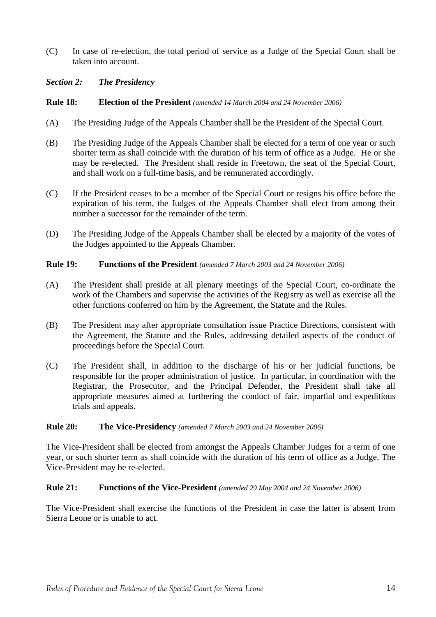(C) In case of re-election, the total period of service as a Judge of the Special Court shall be taken into account.

#### *Section 2: The Presidency*

#### **Rule 18: Election of the President** *(amended 14 March 2004 and 24 November 2006)*

- (A) The Presiding Judge of the Appeals Chamber shall be the President of the Special Court.
- (B) The Presiding Judge of the Appeals Chamber shall be elected for a term of one year or such shorter term as shall coincide with the duration of his term of office as a Judge. He or she may be re-elected. The President shall reside in Freetown, the seat of the Special Court, and shall work on a full-time basis, and be remunerated accordingly.
- (C) If the President ceases to be a member of the Special Court or resigns his office before the expiration of his term, the Judges of the Appeals Chamber shall elect from among their number a successor for the remainder of the term.
- (D) The Presiding Judge of the Appeals Chamber shall be elected by a majority of the votes of the Judges appointed to the Appeals Chamber.

#### **Rule 19: Functions of the President** *(amended 7 March 2003 and 24 November 2006)*

- (A) The President shall preside at all plenary meetings of the Special Court, co-ordinate the work of the Chambers and supervise the activities of the Registry as well as exercise all the other functions conferred on him by the Agreement, the Statute and the Rules.
- (B) The President may after appropriate consultation issue Practice Directions, consistent with the Agreement, the Statute and the Rules, addressing detailed aspects of the conduct of proceedings before the Special Court.
- (C) The President shall, in addition to the discharge of his or her judicial functions, be responsible for the proper administration of justice. In particular, in coordination with the Registrar, the Prosecutor, and the Principal Defender, the President shall take all appropriate measures aimed at furthering the conduct of fair, impartial and expeditious trials and appeals.

#### **Rule 20: The Vice-Presidency** *(amended 7 March 2003 and 24 November 2006)*

The Vice-President shall be elected from amongst the Appeals Chamber Judges for a term of one year, or such shorter term as shall coincide with the duration of his term of office as a Judge. The Vice-President may be re-elected.

#### **Rule 21: Functions of the Vice-President** *(amended 29 May 2004 and 24 November 2006)*

The Vice-President shall exercise the functions of the President in case the latter is absent from Sierra Leone or is unable to act.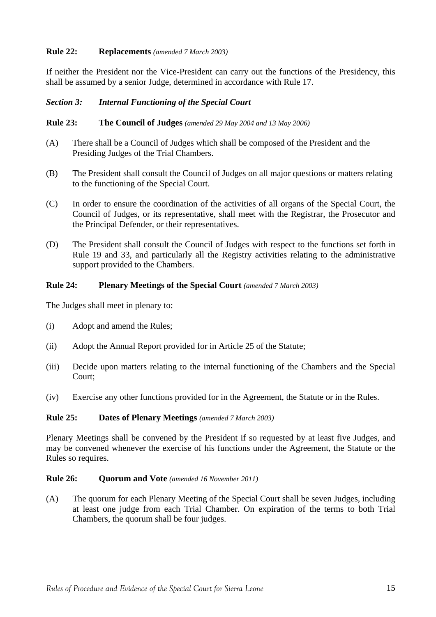## **Rule 22: Replacements** *(amended 7 March 2003)*

If neither the President nor the Vice-President can carry out the functions of the Presidency, this shall be assumed by a senior Judge, determined in accordance with Rule 17.

## *Section 3: Internal Functioning of the Special Court*

#### **Rule 23: The Council of Judges** *(amended 29 May 2004 and 13 May 2006)*

- (A) There shall be a Council of Judges which shall be composed of the President and the Presiding Judges of the Trial Chambers.
- (B) The President shall consult the Council of Judges on all major questions or matters relating to the functioning of the Special Court.
- (C) In order to ensure the coordination of the activities of all organs of the Special Court, the Council of Judges, or its representative, shall meet with the Registrar, the Prosecutor and the Principal Defender, or their representatives.
- (D) The President shall consult the Council of Judges with respect to the functions set forth in Rule 19 and 33, and particularly all the Registry activities relating to the administrative support provided to the Chambers.

#### **Rule 24: Plenary Meetings of the Special Court** *(amended 7 March 2003)*

The Judges shall meet in plenary to:

- (i) Adopt and amend the Rules;
- (ii) Adopt the Annual Report provided for in Article 25 of the Statute;
- (iii) Decide upon matters relating to the internal functioning of the Chambers and the Special Court;
- (iv) Exercise any other functions provided for in the Agreement, the Statute or in the Rules.

### **Rule 25: Dates of Plenary Meetings** *(amended 7 March 2003)*

Plenary Meetings shall be convened by the President if so requested by at least five Judges, and may be convened whenever the exercise of his functions under the Agreement, the Statute or the Rules so requires.

#### **Rule 26: Quorum and Vote** *(amended 16 November 2011)*

(A) The quorum for each Plenary Meeting of the Special Court shall be seven Judges, including at least one judge from each Trial Chamber. On expiration of the terms to both Trial Chambers, the quorum shall be four judges.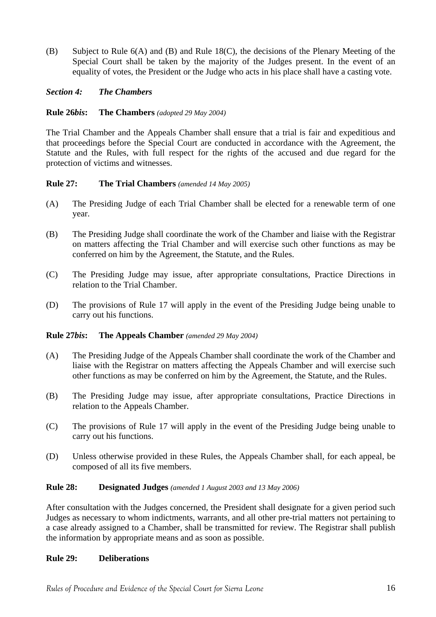(B) Subject to Rule 6(A) and (B) and Rule 18(C), the decisions of the Plenary Meeting of the Special Court shall be taken by the majority of the Judges present. In the event of an equality of votes, the President or the Judge who acts in his place shall have a casting vote.

### *Section 4: The Chambers*

### **Rule 26***bis***: The Chambers** *(adopted 29 May 2004)*

The Trial Chamber and the Appeals Chamber shall ensure that a trial is fair and expeditious and that proceedings before the Special Court are conducted in accordance with the Agreement, the Statute and the Rules, with full respect for the rights of the accused and due regard for the protection of victims and witnesses.

## **Rule 27: The Trial Chambers** *(amended 14 May 2005)*

- (A) The Presiding Judge of each Trial Chamber shall be elected for a renewable term of one year.
- (B) The Presiding Judge shall coordinate the work of the Chamber and liaise with the Registrar on matters affecting the Trial Chamber and will exercise such other functions as may be conferred on him by the Agreement, the Statute, and the Rules.
- (C) The Presiding Judge may issue, after appropriate consultations, Practice Directions in relation to the Trial Chamber.
- (D) The provisions of Rule 17 will apply in the event of the Presiding Judge being unable to carry out his functions.

#### **Rule 27***bis***: The Appeals Chamber** *(amended 29 May 2004)*

- (A) The Presiding Judge of the Appeals Chamber shall coordinate the work of the Chamber and liaise with the Registrar on matters affecting the Appeals Chamber and will exercise such other functions as may be conferred on him by the Agreement, the Statute, and the Rules.
- (B) The Presiding Judge may issue, after appropriate consultations, Practice Directions in relation to the Appeals Chamber.
- (C) The provisions of Rule 17 will apply in the event of the Presiding Judge being unable to carry out his functions.
- (D) Unless otherwise provided in these Rules, the Appeals Chamber shall, for each appeal, be composed of all its five members.

## **Rule 28: Designated Judges** *(amended 1 August 2003 and 13 May 2006)*

After consultation with the Judges concerned, the President shall designate for a given period such Judges as necessary to whom indictments, warrants, and all other pre-trial matters not pertaining to a case already assigned to a Chamber, shall be transmitted for review. The Registrar shall publish the information by appropriate means and as soon as possible.

#### **Rule 29: Deliberations**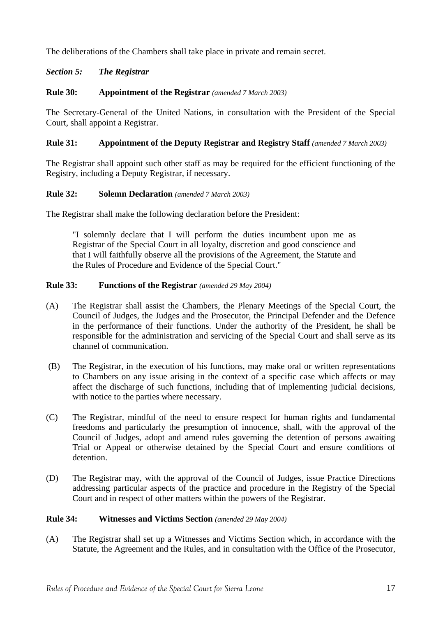The deliberations of the Chambers shall take place in private and remain secret.

## *Section 5: The Registrar*

## **Rule 30: Appointment of the Registrar** *(amended 7 March 2003)*

The Secretary-General of the United Nations, in consultation with the President of the Special Court, shall appoint a Registrar.

## **Rule 31: Appointment of the Deputy Registrar and Registry Staff** *(amended 7 March 2003)*

The Registrar shall appoint such other staff as may be required for the efficient functioning of the Registry, including a Deputy Registrar, if necessary.

## **Rule 32: Solemn Declaration** *(amended 7 March 2003)*

The Registrar shall make the following declaration before the President:

"I solemnly declare that I will perform the duties incumbent upon me as Registrar of the Special Court in all loyalty, discretion and good conscience and that I will faithfully observe all the provisions of the Agreement, the Statute and the Rules of Procedure and Evidence of the Special Court."

## **Rule 33: Functions of the Registrar** *(amended 29 May 2004)*

- (A) The Registrar shall assist the Chambers, the Plenary Meetings of the Special Court, the Council of Judges, the Judges and the Prosecutor, the Principal Defender and the Defence in the performance of their functions. Under the authority of the President, he shall be responsible for the administration and servicing of the Special Court and shall serve as its channel of communication.
- (B) The Registrar, in the execution of his functions, may make oral or written representations to Chambers on any issue arising in the context of a specific case which affects or may affect the discharge of such functions, including that of implementing judicial decisions, with notice to the parties where necessary.
- (C) The Registrar, mindful of the need to ensure respect for human rights and fundamental freedoms and particularly the presumption of innocence, shall, with the approval of the Council of Judges, adopt and amend rules governing the detention of persons awaiting Trial or Appeal or otherwise detained by the Special Court and ensure conditions of detention.
- (D) The Registrar may, with the approval of the Council of Judges, issue Practice Directions addressing particular aspects of the practice and procedure in the Registry of the Special Court and in respect of other matters within the powers of the Registrar.

## **Rule 34: Witnesses and Victims Section** *(amended 29 May 2004)*

(A) The Registrar shall set up a Witnesses and Victims Section which, in accordance with the Statute, the Agreement and the Rules, and in consultation with the Office of the Prosecutor,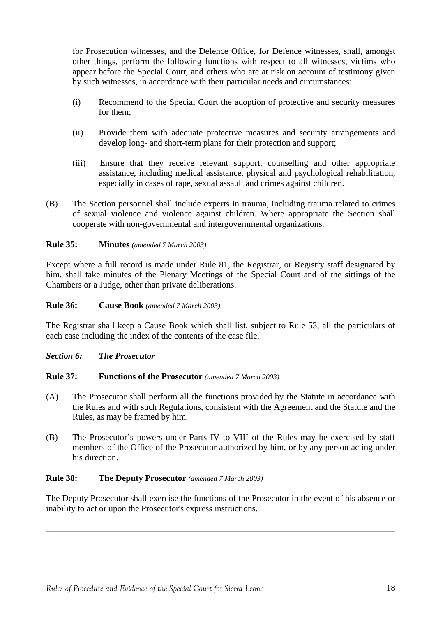for Prosecution witnesses, and the Defence Office, for Defence witnesses, shall, amongst other things, perform the following functions with respect to all witnesses, victims who appear before the Special Court, and others who are at risk on account of testimony given by such witnesses, in accordance with their particular needs and circumstances:

- (i) Recommend to the Special Court the adoption of protective and security measures for them;
- (ii) Provide them with adequate protective measures and security arrangements and develop long- and short-term plans for their protection and support;
- (iii) Ensure that they receive relevant support, counselling and other appropriate assistance, including medical assistance, physical and psychological rehabilitation, especially in cases of rape, sexual assault and crimes against children.
- (B) The Section personnel shall include experts in trauma, including trauma related to crimes of sexual violence and violence against children. Where appropriate the Section shall cooperate with non-governmental and intergovernmental organizations.

## **Rule 35: Minutes** *(amended 7 March 2003)*

Except where a full record is made under Rule 81, the Registrar, or Registry staff designated by him, shall take minutes of the Plenary Meetings of the Special Court and of the sittings of the Chambers or a Judge, other than private deliberations.

#### **Rule 36: Cause Book** *(amended 7 March 2003)*

The Registrar shall keep a Cause Book which shall list, subject to Rule 53, all the particulars of each case including the index of the contents of the case file.

#### *Section 6: The Prosecutor*

#### **Rule 37: Functions of the Prosecutor** *(amended 7 March 2003)*

- (A) The Prosecutor shall perform all the functions provided by the Statute in accordance with the Rules and with such Regulations, consistent with the Agreement and the Statute and the Rules, as may be framed by him.
- (B) The Prosecutor's powers under Parts IV to VIII of the Rules may be exercised by staff members of the Office of the Prosecutor authorized by him, or by any person acting under his direction.

## **Rule 38: The Deputy Prosecutor** *(amended 7 March 2003)*

The Deputy Prosecutor shall exercise the functions of the Prosecutor in the event of his absence or inability to act or upon the Prosecutor's express instructions.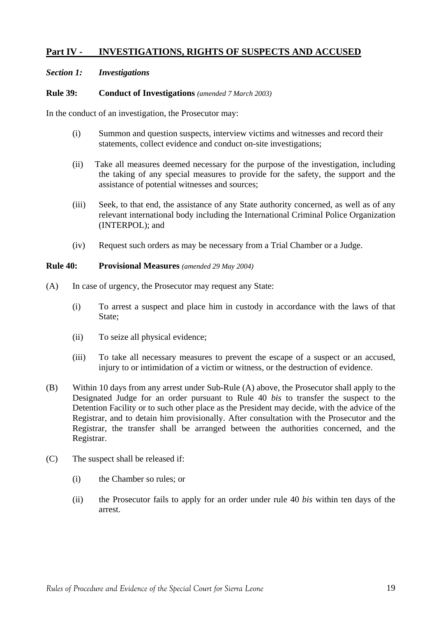# **Part IV - INVESTIGATIONS, RIGHTS OF SUSPECTS AND ACCUSED**

### *Section 1: Investigations*

#### **Rule 39: Conduct of Investigations** *(amended 7 March 2003)*

In the conduct of an investigation, the Prosecutor may:

- (i) Summon and question suspects, interview victims and witnesses and record their statements, collect evidence and conduct on-site investigations;
- (ii) Take all measures deemed necessary for the purpose of the investigation, including the taking of any special measures to provide for the safety, the support and the assistance of potential witnesses and sources;
- (iii) Seek, to that end, the assistance of any State authority concerned, as well as of any relevant international body including the International Criminal Police Organization (INTERPOL); and
- (iv) Request such orders as may be necessary from a Trial Chamber or a Judge.

#### **Rule 40: Provisional Measures** *(amended 29 May 2004)*

- (A) In case of urgency, the Prosecutor may request any State:
	- (i) To arrest a suspect and place him in custody in accordance with the laws of that State:
	- (ii) To seize all physical evidence;
	- (iii) To take all necessary measures to prevent the escape of a suspect or an accused, injury to or intimidation of a victim or witness, or the destruction of evidence.
- (B) Within 10 days from any arrest under Sub-Rule (A) above, the Prosecutor shall apply to the Designated Judge for an order pursuant to Rule 40 *bis* to transfer the suspect to the Detention Facility or to such other place as the President may decide, with the advice of the Registrar, and to detain him provisionally. After consultation with the Prosecutor and the Registrar, the transfer shall be arranged between the authorities concerned, and the Registrar.
- (C) The suspect shall be released if:
	- (i) the Chamber so rules; or
	- (ii) the Prosecutor fails to apply for an order under rule 40 *bis* within ten days of the arrest.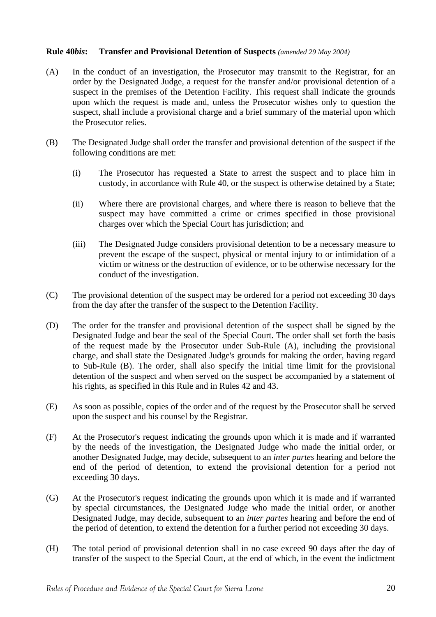### **Rule 40***bis***: Transfer and Provisional Detention of Suspects** *(amended 29 May 2004)*

- (A) In the conduct of an investigation, the Prosecutor may transmit to the Registrar, for an order by the Designated Judge, a request for the transfer and/or provisional detention of a suspect in the premises of the Detention Facility. This request shall indicate the grounds upon which the request is made and, unless the Prosecutor wishes only to question the suspect, shall include a provisional charge and a brief summary of the material upon which the Prosecutor relies.
- (B) The Designated Judge shall order the transfer and provisional detention of the suspect if the following conditions are met:
	- (i) The Prosecutor has requested a State to arrest the suspect and to place him in custody, in accordance with Rule 40, or the suspect is otherwise detained by a State;
	- (ii) Where there are provisional charges, and where there is reason to believe that the suspect may have committed a crime or crimes specified in those provisional charges over which the Special Court has jurisdiction; and
	- (iii) The Designated Judge considers provisional detention to be a necessary measure to prevent the escape of the suspect, physical or mental injury to or intimidation of a victim or witness or the destruction of evidence, or to be otherwise necessary for the conduct of the investigation.
- (C) The provisional detention of the suspect may be ordered for a period not exceeding 30 days from the day after the transfer of the suspect to the Detention Facility.
- (D) The order for the transfer and provisional detention of the suspect shall be signed by the Designated Judge and bear the seal of the Special Court. The order shall set forth the basis of the request made by the Prosecutor under Sub-Rule (A), including the provisional charge, and shall state the Designated Judge's grounds for making the order, having regard to Sub-Rule (B). The order, shall also specify the initial time limit for the provisional detention of the suspect and when served on the suspect be accompanied by a statement of his rights, as specified in this Rule and in Rules 42 and 43.
- (E) As soon as possible, copies of the order and of the request by the Prosecutor shall be served upon the suspect and his counsel by the Registrar.
- (F) At the Prosecutor's request indicating the grounds upon which it is made and if warranted by the needs of the investigation, the Designated Judge who made the initial order, or another Designated Judge, may decide, subsequent to an *inter partes* hearing and before the end of the period of detention, to extend the provisional detention for a period not exceeding 30 days.
- (G) At the Prosecutor's request indicating the grounds upon which it is made and if warranted by special circumstances, the Designated Judge who made the initial order, or another Designated Judge, may decide, subsequent to an *inter partes* hearing and before the end of the period of detention, to extend the detention for a further period not exceeding 30 days.
- (H) The total period of provisional detention shall in no case exceed 90 days after the day of transfer of the suspect to the Special Court, at the end of which, in the event the indictment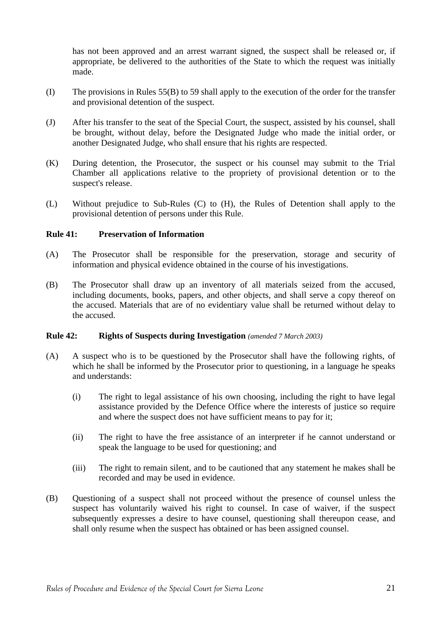has not been approved and an arrest warrant signed, the suspect shall be released or, if appropriate, be delivered to the authorities of the State to which the request was initially made.

- (I) The provisions in Rules 55(B) to 59 shall apply to the execution of the order for the transfer and provisional detention of the suspect.
- (J) After his transfer to the seat of the Special Court, the suspect, assisted by his counsel, shall be brought, without delay, before the Designated Judge who made the initial order, or another Designated Judge, who shall ensure that his rights are respected.
- (K) During detention, the Prosecutor, the suspect or his counsel may submit to the Trial Chamber all applications relative to the propriety of provisional detention or to the suspect's release.
- (L) Without prejudice to Sub-Rules (C) to (H), the Rules of Detention shall apply to the provisional detention of persons under this Rule.

#### **Rule 41: Preservation of Information**

- (A) The Prosecutor shall be responsible for the preservation, storage and security of information and physical evidence obtained in the course of his investigations.
- (B) The Prosecutor shall draw up an inventory of all materials seized from the accused, including documents, books, papers, and other objects, and shall serve a copy thereof on the accused. Materials that are of no evidentiary value shall be returned without delay to the accused.

#### **Rule 42: Rights of Suspects during Investigation** *(amended 7 March 2003)*

- (A) A suspect who is to be questioned by the Prosecutor shall have the following rights, of which he shall be informed by the Prosecutor prior to questioning, in a language he speaks and understands:
	- (i) The right to legal assistance of his own choosing, including the right to have legal assistance provided by the Defence Office where the interests of justice so require and where the suspect does not have sufficient means to pay for it;
	- (ii) The right to have the free assistance of an interpreter if he cannot understand or speak the language to be used for questioning; and
	- (iii) The right to remain silent, and to be cautioned that any statement he makes shall be recorded and may be used in evidence.
- (B) Questioning of a suspect shall not proceed without the presence of counsel unless the suspect has voluntarily waived his right to counsel. In case of waiver, if the suspect subsequently expresses a desire to have counsel, questioning shall thereupon cease, and shall only resume when the suspect has obtained or has been assigned counsel.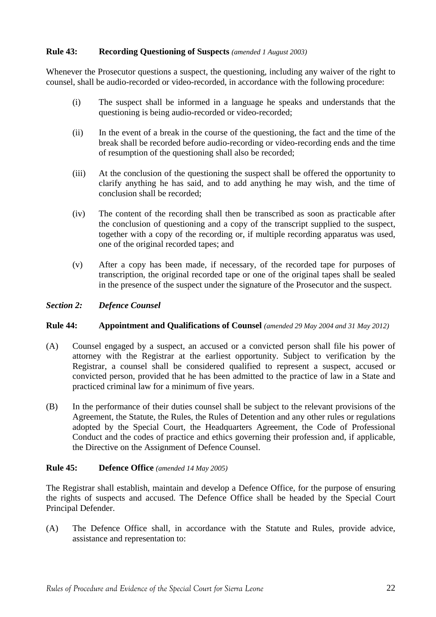## **Rule 43: Recording Questioning of Suspects** *(amended 1 August 2003)*

Whenever the Prosecutor questions a suspect, the questioning, including any waiver of the right to counsel, shall be audio-recorded or video-recorded, in accordance with the following procedure:

- (i) The suspect shall be informed in a language he speaks and understands that the questioning is being audio-recorded or video-recorded;
- (ii) In the event of a break in the course of the questioning, the fact and the time of the break shall be recorded before audio-recording or video-recording ends and the time of resumption of the questioning shall also be recorded;
- (iii) At the conclusion of the questioning the suspect shall be offered the opportunity to clarify anything he has said, and to add anything he may wish, and the time of conclusion shall be recorded;
- (iv) The content of the recording shall then be transcribed as soon as practicable after the conclusion of questioning and a copy of the transcript supplied to the suspect, together with a copy of the recording or, if multiple recording apparatus was used, one of the original recorded tapes; and
- (v) After a copy has been made, if necessary, of the recorded tape for purposes of transcription, the original recorded tape or one of the original tapes shall be sealed in the presence of the suspect under the signature of the Prosecutor and the suspect.

#### *Section 2: Defence Counsel*

#### **Rule 44:** Appointment and Qualifications of Counsel *(amended 29 May 2004 and 31 May 2012)*

- (A) Counsel engaged by a suspect, an accused or a convicted person shall file his power of attorney with the Registrar at the earliest opportunity. Subject to verification by the Registrar, a counsel shall be considered qualified to represent a suspect, accused or convicted person, provided that he has been admitted to the practice of law in a State and practiced criminal law for a minimum of five years.
- (B) In the performance of their duties counsel shall be subject to the relevant provisions of the Agreement, the Statute, the Rules, the Rules of Detention and any other rules or regulations adopted by the Special Court, the Headquarters Agreement, the Code of Professional Conduct and the codes of practice and ethics governing their profession and, if applicable, the Directive on the Assignment of Defence Counsel.

#### **Rule 45: Defence Office** *(amended 14 May 2005)*

The Registrar shall establish, maintain and develop a Defence Office, for the purpose of ensuring the rights of suspects and accused. The Defence Office shall be headed by the Special Court Principal Defender.

(A) The Defence Office shall, in accordance with the Statute and Rules, provide advice, assistance and representation to: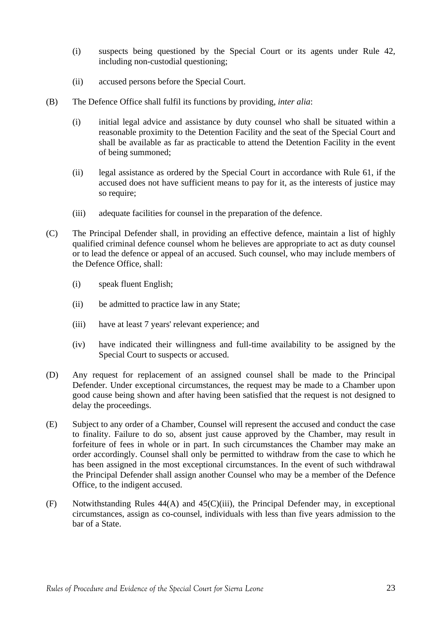- (i) suspects being questioned by the Special Court or its agents under Rule 42, including non-custodial questioning;
- (ii) accused persons before the Special Court.
- (B) The Defence Office shall fulfil its functions by providing, *inter alia*:
	- (i) initial legal advice and assistance by duty counsel who shall be situated within a reasonable proximity to the Detention Facility and the seat of the Special Court and shall be available as far as practicable to attend the Detention Facility in the event of being summoned;
	- (ii) legal assistance as ordered by the Special Court in accordance with Rule 61, if the accused does not have sufficient means to pay for it, as the interests of justice may so require:
	- (iii) adequate facilities for counsel in the preparation of the defence.
- (C) The Principal Defender shall, in providing an effective defence, maintain a list of highly qualified criminal defence counsel whom he believes are appropriate to act as duty counsel or to lead the defence or appeal of an accused. Such counsel, who may include members of the Defence Office, shall:
	- (i) speak fluent English;
	- (ii) be admitted to practice law in any State;
	- (iii) have at least 7 years' relevant experience; and
	- (iv) have indicated their willingness and full-time availability to be assigned by the Special Court to suspects or accused.
- (D) Any request for replacement of an assigned counsel shall be made to the Principal Defender. Under exceptional circumstances, the request may be made to a Chamber upon good cause being shown and after having been satisfied that the request is not designed to delay the proceedings.
- (E) Subject to any order of a Chamber, Counsel will represent the accused and conduct the case to finality. Failure to do so, absent just cause approved by the Chamber, may result in forfeiture of fees in whole or in part. In such circumstances the Chamber may make an order accordingly. Counsel shall only be permitted to withdraw from the case to which he has been assigned in the most exceptional circumstances. In the event of such withdrawal the Principal Defender shall assign another Counsel who may be a member of the Defence Office, to the indigent accused.
- (F) Notwithstanding Rules 44(A) and 45(C)(iii), the Principal Defender may, in exceptional circumstances, assign as co-counsel, individuals with less than five years admission to the bar of a State.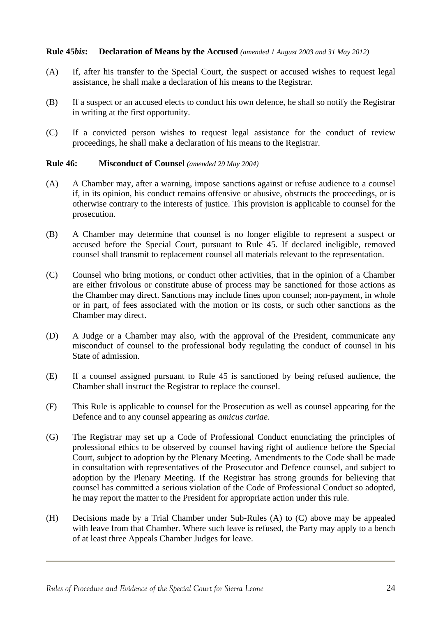### **Rule 45***bis***: Declaration of Means by the Accused** *(amended 1 August 2003 and 31 May 2012)*

- (A) If, after his transfer to the Special Court, the suspect or accused wishes to request legal assistance, he shall make a declaration of his means to the Registrar.
- (B) If a suspect or an accused elects to conduct his own defence, he shall so notify the Registrar in writing at the first opportunity.
- (C) If a convicted person wishes to request legal assistance for the conduct of review proceedings, he shall make a declaration of his means to the Registrar.

## **Rule 46: Misconduct of Counsel** *(amended 29 May 2004)*

- (A) A Chamber may, after a warning, impose sanctions against or refuse audience to a counsel if, in its opinion, his conduct remains offensive or abusive, obstructs the proceedings, or is otherwise contrary to the interests of justice. This provision is applicable to counsel for the prosecution.
- (B) A Chamber may determine that counsel is no longer eligible to represent a suspect or accused before the Special Court, pursuant to Rule 45. If declared ineligible, removed counsel shall transmit to replacement counsel all materials relevant to the representation.
- (C) Counsel who bring motions, or conduct other activities, that in the opinion of a Chamber are either frivolous or constitute abuse of process may be sanctioned for those actions as the Chamber may direct. Sanctions may include fines upon counsel; non-payment, in whole or in part, of fees associated with the motion or its costs, or such other sanctions as the Chamber may direct.
- (D) A Judge or a Chamber may also, with the approval of the President, communicate any misconduct of counsel to the professional body regulating the conduct of counsel in his State of admission.
- (E) If a counsel assigned pursuant to Rule 45 is sanctioned by being refused audience, the Chamber shall instruct the Registrar to replace the counsel.
- (F) This Rule is applicable to counsel for the Prosecution as well as counsel appearing for the Defence and to any counsel appearing as *amicus curiae*.
- (G) The Registrar may set up a Code of Professional Conduct enunciating the principles of professional ethics to be observed by counsel having right of audience before the Special Court, subject to adoption by the Plenary Meeting. Amendments to the Code shall be made in consultation with representatives of the Prosecutor and Defence counsel, and subject to adoption by the Plenary Meeting. If the Registrar has strong grounds for believing that counsel has committed a serious violation of the Code of Professional Conduct so adopted, he may report the matter to the President for appropriate action under this rule.
- (H) Decisions made by a Trial Chamber under Sub-Rules (A) to (C) above may be appealed with leave from that Chamber. Where such leave is refused, the Party may apply to a bench of at least three Appeals Chamber Judges for leave.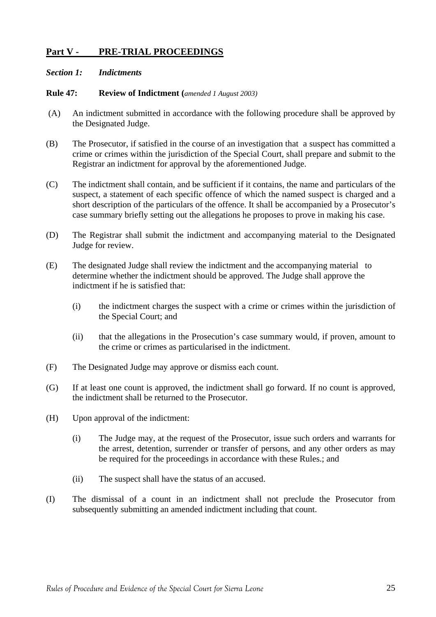# **Part V - PRE-TRIAL PROCEEDINGS**

#### *Section 1: Indictments*

#### **Rule 47: Review of Indictment (***amended 1 August 2003)*

- (A) An indictment submitted in accordance with the following procedure shall be approved by the Designated Judge.
- (B) The Prosecutor, if satisfied in the course of an investigation that a suspect has committed a crime or crimes within the jurisdiction of the Special Court, shall prepare and submit to the Registrar an indictment for approval by the aforementioned Judge.
- (C) The indictment shall contain, and be sufficient if it contains, the name and particulars of the suspect, a statement of each specific offence of which the named suspect is charged and a short description of the particulars of the offence. It shall be accompanied by a Prosecutor's case summary briefly setting out the allegations he proposes to prove in making his case.
- (D) The Registrar shall submit the indictment and accompanying material to the Designated Judge for review.
- (E) The designated Judge shall review the indictment and the accompanying material to determine whether the indictment should be approved. The Judge shall approve the indictment if he is satisfied that:
	- (i) the indictment charges the suspect with a crime or crimes within the jurisdiction of the Special Court; and
	- (ii) that the allegations in the Prosecution's case summary would, if proven, amount to the crime or crimes as particularised in the indictment.
- (F) The Designated Judge may approve or dismiss each count.
- (G) If at least one count is approved, the indictment shall go forward. If no count is approved, the indictment shall be returned to the Prosecutor.
- (H) Upon approval of the indictment:
	- (i) The Judge may, at the request of the Prosecutor, issue such orders and warrants for the arrest, detention, surrender or transfer of persons, and any other orders as may be required for the proceedings in accordance with these Rules.; and
	- (ii) The suspect shall have the status of an accused.
- (I) The dismissal of a count in an indictment shall not preclude the Prosecutor from subsequently submitting an amended indictment including that count.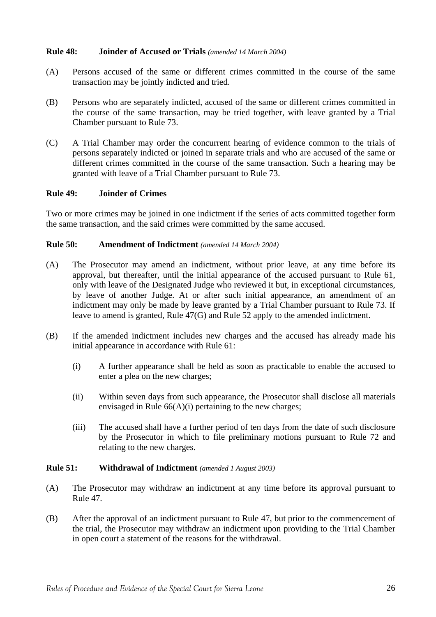## **Rule 48: Joinder of Accused or Trials** *(amended 14 March 2004)*

- (A) Persons accused of the same or different crimes committed in the course of the same transaction may be jointly indicted and tried.
- (B) Persons who are separately indicted, accused of the same or different crimes committed in the course of the same transaction, may be tried together, with leave granted by a Trial Chamber pursuant to Rule 73.
- (C) A Trial Chamber may order the concurrent hearing of evidence common to the trials of persons separately indicted or joined in separate trials and who are accused of the same or different crimes committed in the course of the same transaction. Such a hearing may be granted with leave of a Trial Chamber pursuant to Rule 73.

## **Rule 49: Joinder of Crimes**

Two or more crimes may be joined in one indictment if the series of acts committed together form the same transaction, and the said crimes were committed by the same accused.

#### **Rule 50: Amendment of Indictment** *(amended 14 March 2004)*

- (A) The Prosecutor may amend an indictment, without prior leave, at any time before its approval, but thereafter, until the initial appearance of the accused pursuant to Rule 61, only with leave of the Designated Judge who reviewed it but, in exceptional circumstances, by leave of another Judge. At or after such initial appearance, an amendment of an indictment may only be made by leave granted by a Trial Chamber pursuant to Rule 73. If leave to amend is granted, Rule 47(G) and Rule 52 apply to the amended indictment.
- (B) If the amended indictment includes new charges and the accused has already made his initial appearance in accordance with Rule 61:
	- (i) A further appearance shall be held as soon as practicable to enable the accused to enter a plea on the new charges;
	- (ii) Within seven days from such appearance, the Prosecutor shall disclose all materials envisaged in Rule  $66(A)(i)$  pertaining to the new charges;
	- (iii) The accused shall have a further period of ten days from the date of such disclosure by the Prosecutor in which to file preliminary motions pursuant to Rule 72 and relating to the new charges.

#### **Rule 51: Withdrawal of Indictment** *(amended 1 August 2003)*

- (A) The Prosecutor may withdraw an indictment at any time before its approval pursuant to Rule 47.
- (B) After the approval of an indictment pursuant to Rule 47, but prior to the commencement of the trial, the Prosecutor may withdraw an indictment upon providing to the Trial Chamber in open court a statement of the reasons for the withdrawal.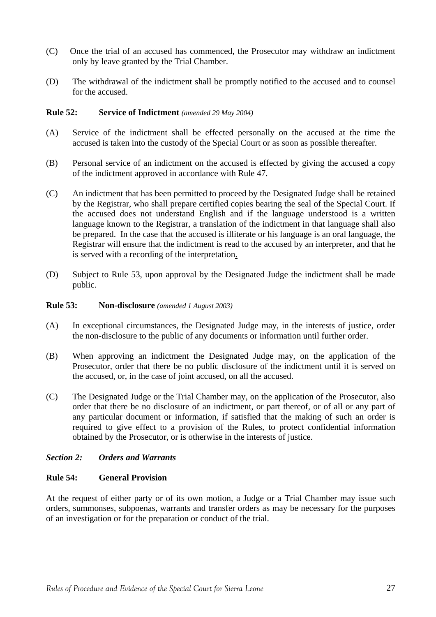- (C) Once the trial of an accused has commenced, the Prosecutor may withdraw an indictment only by leave granted by the Trial Chamber.
- (D) The withdrawal of the indictment shall be promptly notified to the accused and to counsel for the accused.

#### **Rule 52: Service of Indictment** *(amended 29 May 2004)*

- (A) Service of the indictment shall be effected personally on the accused at the time the accused is taken into the custody of the Special Court or as soon as possible thereafter.
- (B) Personal service of an indictment on the accused is effected by giving the accused a copy of the indictment approved in accordance with Rule 47.
- (C) An indictment that has been permitted to proceed by the Designated Judge shall be retained by the Registrar, who shall prepare certified copies bearing the seal of the Special Court. If the accused does not understand English and if the language understood is a written language known to the Registrar, a translation of the indictment in that language shall also be prepared. In the case that the accused is illiterate or his language is an oral language, the Registrar will ensure that the indictment is read to the accused by an interpreter, and that he is served with a recording of the interpretation.
- (D) Subject to Rule 53, upon approval by the Designated Judge the indictment shall be made public.

#### **Rule 53: Non-disclosure** *(amended 1 August 2003)*

- (A) In exceptional circumstances, the Designated Judge may, in the interests of justice, order the non-disclosure to the public of any documents or information until further order.
- (B) When approving an indictment the Designated Judge may, on the application of the Prosecutor, order that there be no public disclosure of the indictment until it is served on the accused, or, in the case of joint accused, on all the accused.
- (C) The Designated Judge or the Trial Chamber may, on the application of the Prosecutor, also order that there be no disclosure of an indictment, or part thereof, or of all or any part of any particular document or information, if satisfied that the making of such an order is required to give effect to a provision of the Rules, to protect confidential information obtained by the Prosecutor, or is otherwise in the interests of justice.

#### *Section 2: Orders and Warrants*

#### **Rule 54: General Provision**

At the request of either party or of its own motion, a Judge or a Trial Chamber may issue such orders, summonses, subpoenas, warrants and transfer orders as may be necessary for the purposes of an investigation or for the preparation or conduct of the trial.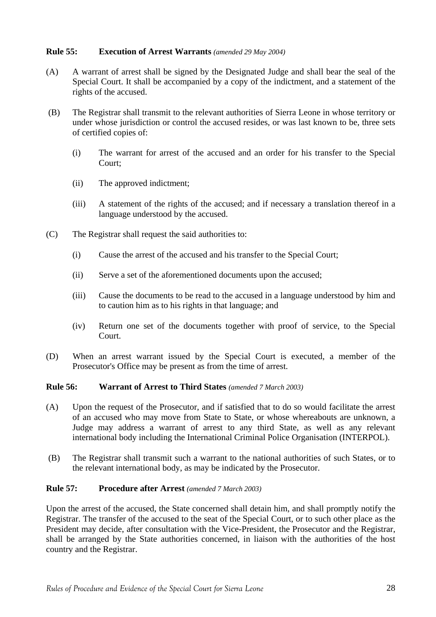## **Rule 55: Execution of Arrest Warrants** *(amended 29 May 2004)*

- (A) A warrant of arrest shall be signed by the Designated Judge and shall bear the seal of the Special Court. It shall be accompanied by a copy of the indictment, and a statement of the rights of the accused.
- (B) The Registrar shall transmit to the relevant authorities of Sierra Leone in whose territory or under whose jurisdiction or control the accused resides, or was last known to be, three sets of certified copies of:
	- (i) The warrant for arrest of the accused and an order for his transfer to the Special Court;
	- (ii) The approved indictment;
	- (iii) A statement of the rights of the accused; and if necessary a translation thereof in a language understood by the accused.
- (C) The Registrar shall request the said authorities to:
	- (i) Cause the arrest of the accused and his transfer to the Special Court;
	- (ii) Serve a set of the aforementioned documents upon the accused;
	- (iii) Cause the documents to be read to the accused in a language understood by him and to caution him as to his rights in that language; and
	- (iv) Return one set of the documents together with proof of service, to the Special Court.
- (D) When an arrest warrant issued by the Special Court is executed, a member of the Prosecutor's Office may be present as from the time of arrest.

#### **Rule 56: Warrant of Arrest to Third States** *(amended 7 March 2003)*

- (A) Upon the request of the Prosecutor, and if satisfied that to do so would facilitate the arrest of an accused who may move from State to State, or whose whereabouts are unknown, a Judge may address a warrant of arrest to any third State, as well as any relevant international body including the International Criminal Police Organisation (INTERPOL).
- (B) The Registrar shall transmit such a warrant to the national authorities of such States, or to the relevant international body, as may be indicated by the Prosecutor.

#### **Rule 57: Procedure after Arrest** *(amended 7 March 2003)*

Upon the arrest of the accused, the State concerned shall detain him, and shall promptly notify the Registrar. The transfer of the accused to the seat of the Special Court, or to such other place as the President may decide, after consultation with the Vice-President, the Prosecutor and the Registrar, shall be arranged by the State authorities concerned, in liaison with the authorities of the host country and the Registrar.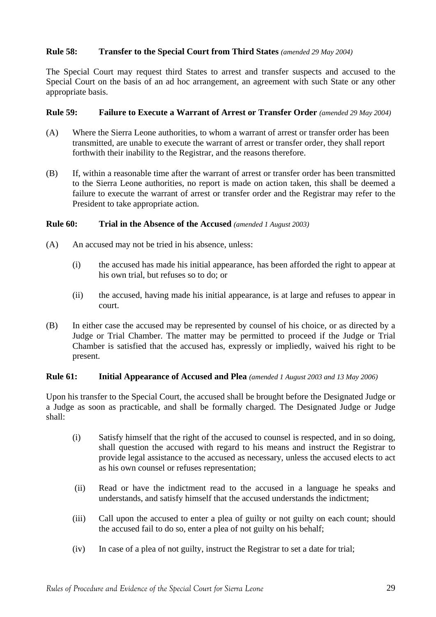## **Rule 58: Transfer to the Special Court from Third States** *(amended 29 May 2004)*

The Special Court may request third States to arrest and transfer suspects and accused to the Special Court on the basis of an ad hoc arrangement, an agreement with such State or any other appropriate basis.

#### **Rule 59: Failure to Execute a Warrant of Arrest or Transfer Order** *(amended 29 May 2004)*

- (A) Where the Sierra Leone authorities, to whom a warrant of arrest or transfer order has been transmitted, are unable to execute the warrant of arrest or transfer order, they shall report forthwith their inability to the Registrar, and the reasons therefore.
- (B) If, within a reasonable time after the warrant of arrest or transfer order has been transmitted to the Sierra Leone authorities, no report is made on action taken, this shall be deemed a failure to execute the warrant of arrest or transfer order and the Registrar may refer to the President to take appropriate action.

#### **Rule 60: Trial in the Absence of the Accused** *(amended 1 August 2003)*

- (A) An accused may not be tried in his absence, unless:
	- (i) the accused has made his initial appearance, has been afforded the right to appear at his own trial, but refuses so to do; or
	- (ii) the accused, having made his initial appearance, is at large and refuses to appear in court.
- (B) In either case the accused may be represented by counsel of his choice, or as directed by a Judge or Trial Chamber. The matter may be permitted to proceed if the Judge or Trial Chamber is satisfied that the accused has, expressly or impliedly, waived his right to be present.

#### **Rule 61: Initial Appearance of Accused and Plea** *(amended 1 August 2003 and 13 May 2006)*

Upon his transfer to the Special Court, the accused shall be brought before the Designated Judge or a Judge as soon as practicable, and shall be formally charged. The Designated Judge or Judge shall:

- (i) Satisfy himself that the right of the accused to counsel is respected, and in so doing, shall question the accused with regard to his means and instruct the Registrar to provide legal assistance to the accused as necessary, unless the accused elects to act as his own counsel or refuses representation;
- (ii) Read or have the indictment read to the accused in a language he speaks and understands, and satisfy himself that the accused understands the indictment;
- (iii) Call upon the accused to enter a plea of guilty or not guilty on each count; should the accused fail to do so, enter a plea of not guilty on his behalf;
- (iv) In case of a plea of not guilty, instruct the Registrar to set a date for trial;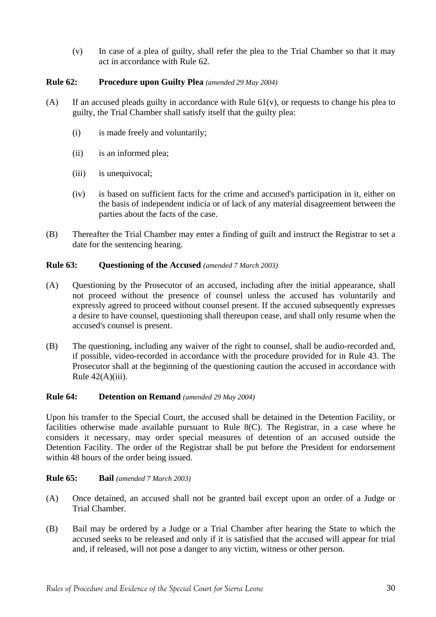(v) In case of a plea of guilty, shall refer the plea to the Trial Chamber so that it may act in accordance with Rule 62.

## **Rule 62: Procedure upon Guilty Plea** *(amended 29 May 2004)*

- (A) If an accused pleads guilty in accordance with Rule  $61(v)$ , or requests to change his plea to guilty, the Trial Chamber shall satisfy itself that the guilty plea:
	- (i) is made freely and voluntarily;
	- (ii) is an informed plea;
	- (iii) is unequivocal;
	- (iv) is based on sufficient facts for the crime and accused's participation in it, either on the basis of independent indicia or of lack of any material disagreement between the parties about the facts of the case.
- (B) Thereafter the Trial Chamber may enter a finding of guilt and instruct the Registrar to set a date for the sentencing hearing.

## **Rule 63: Questioning of the Accused** *(amended 7 March 2003)*

- (A) Ouestioning by the Prosecutor of an accused, including after the initial appearance, shall not proceed without the presence of counsel unless the accused has voluntarily and expressly agreed to proceed without counsel present. If the accused subsequently expresses a desire to have counsel, questioning shall thereupon cease, and shall only resume when the accused's counsel is present.
- (B) The questioning, including any waiver of the right to counsel, shall be audio-recorded and, if possible, video-recorded in accordance with the procedure provided for in Rule 43. The Prosecutor shall at the beginning of the questioning caution the accused in accordance with Rule  $42(A)(iii)$ .

## **Rule 64: Detention on Remand** *(amended 29 May 2004)*

Upon his transfer to the Special Court, the accused shall be detained in the Detention Facility, or facilities otherwise made available pursuant to Rule 8(C). The Registrar, in a case where he considers it necessary, may order special measures of detention of an accused outside the Detention Facility. The order of the Registrar shall be put before the President for endorsement within 48 hours of the order being issued.

#### **Rule 65: Bail** *(amended 7 March 2003)*

- (A) Once detained, an accused shall not be granted bail except upon an order of a Judge or Trial Chamber.
- (B) Bail may be ordered by a Judge or a Trial Chamber after hearing the State to which the accused seeks to be released and only if it is satisfied that the accused will appear for trial and, if released, will not pose a danger to any victim, witness or other person.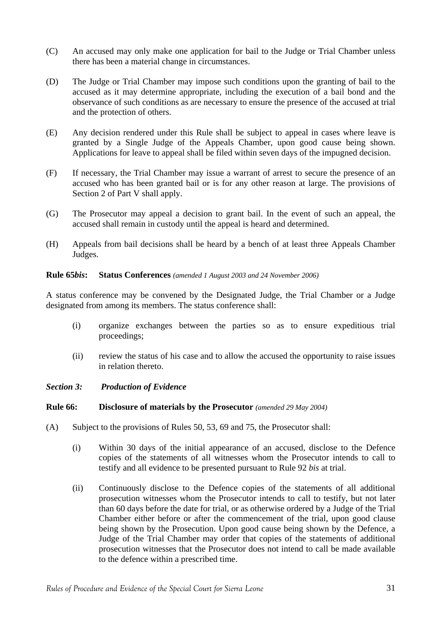- (C) An accused may only make one application for bail to the Judge or Trial Chamber unless there has been a material change in circumstances.
- (D) The Judge or Trial Chamber may impose such conditions upon the granting of bail to the accused as it may determine appropriate, including the execution of a bail bond and the observance of such conditions as are necessary to ensure the presence of the accused at trial and the protection of others.
- (E) Any decision rendered under this Rule shall be subject to appeal in cases where leave is granted by a Single Judge of the Appeals Chamber, upon good cause being shown. Applications for leave to appeal shall be filed within seven days of the impugned decision.
- (F) If necessary, the Trial Chamber may issue a warrant of arrest to secure the presence of an accused who has been granted bail or is for any other reason at large. The provisions of Section 2 of Part V shall apply.
- (G) The Prosecutor may appeal a decision to grant bail. In the event of such an appeal, the accused shall remain in custody until the appeal is heard and determined.
- (H) Appeals from bail decisions shall be heard by a bench of at least three Appeals Chamber Judges.

#### **Rule 65***bis***: Status Conferences** *(amended 1 August 2003 and 24 November 2006)*

A status conference may be convened by the Designated Judge, the Trial Chamber or a Judge designated from among its members. The status conference shall:

- (i) organize exchanges between the parties so as to ensure expeditious trial proceedings;
- (ii) review the status of his case and to allow the accused the opportunity to raise issues in relation thereto.
- *Section 3: Production of Evidence*

#### **Rule 66:** Disclosure of materials by the Prosecutor *(amended 29 May 2004)*

- (A) Subject to the provisions of Rules 50, 53, 69 and 75, the Prosecutor shall:
	- (i) Within 30 days of the initial appearance of an accused, disclose to the Defence copies of the statements of all witnesses whom the Prosecutor intends to call to testify and all evidence to be presented pursuant to Rule 92 *bis* at trial.
	- (ii) Continuously disclose to the Defence copies of the statements of all additional prosecution witnesses whom the Prosecutor intends to call to testify, but not later than 60 days before the date for trial, or as otherwise ordered by a Judge of the Trial Chamber either before or after the commencement of the trial, upon good clause being shown by the Prosecution. Upon good cause being shown by the Defence, a Judge of the Trial Chamber may order that copies of the statements of additional prosecution witnesses that the Prosecutor does not intend to call be made available to the defence within a prescribed time.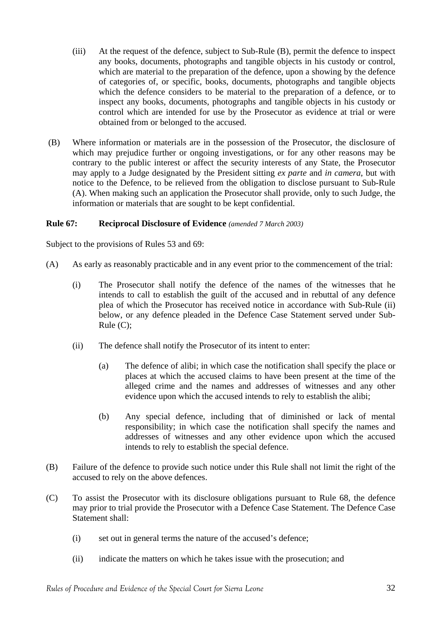- (iii) At the request of the defence, subject to Sub-Rule (B), permit the defence to inspect any books, documents, photographs and tangible objects in his custody or control, which are material to the preparation of the defence, upon a showing by the defence of categories of, or specific, books, documents, photographs and tangible objects which the defence considers to be material to the preparation of a defence, or to inspect any books, documents, photographs and tangible objects in his custody or control which are intended for use by the Prosecutor as evidence at trial or were obtained from or belonged to the accused.
- (B) Where information or materials are in the possession of the Prosecutor, the disclosure of which may prejudice further or ongoing investigations, or for any other reasons may be contrary to the public interest or affect the security interests of any State, the Prosecutor may apply to a Judge designated by the President sitting *ex parte* and *in camera*, but with notice to the Defence, to be relieved from the obligation to disclose pursuant to Sub-Rule (A). When making such an application the Prosecutor shall provide, only to such Judge, the information or materials that are sought to be kept confidential.

## **Rule 67: Reciprocal Disclosure of Evidence** *(amended 7 March 2003)*

Subject to the provisions of Rules 53 and 69:

- (A) As early as reasonably practicable and in any event prior to the commencement of the trial:
	- (i) The Prosecutor shall notify the defence of the names of the witnesses that he intends to call to establish the guilt of the accused and in rebuttal of any defence plea of which the Prosecutor has received notice in accordance with Sub-Rule (ii) below, or any defence pleaded in the Defence Case Statement served under Sub-Rule (C);
	- (ii) The defence shall notify the Prosecutor of its intent to enter:
		- (a) The defence of alibi; in which case the notification shall specify the place or places at which the accused claims to have been present at the time of the alleged crime and the names and addresses of witnesses and any other evidence upon which the accused intends to rely to establish the alibi;
		- (b) Any special defence, including that of diminished or lack of mental responsibility; in which case the notification shall specify the names and addresses of witnesses and any other evidence upon which the accused intends to rely to establish the special defence.
- (B) Failure of the defence to provide such notice under this Rule shall not limit the right of the accused to rely on the above defences.
- (C) To assist the Prosecutor with its disclosure obligations pursuant to Rule 68, the defence may prior to trial provide the Prosecutor with a Defence Case Statement. The Defence Case Statement shall:
	- (i) set out in general terms the nature of the accused's defence;
	- (ii) indicate the matters on which he takes issue with the prosecution; and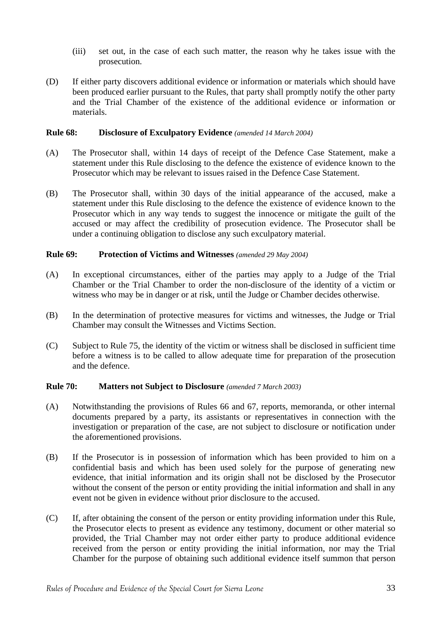- (iii) set out, in the case of each such matter, the reason why he takes issue with the prosecution.
- (D) If either party discovers additional evidence or information or materials which should have been produced earlier pursuant to the Rules, that party shall promptly notify the other party and the Trial Chamber of the existence of the additional evidence or information or materials.

#### **Rule 68: Disclosure of Exculpatory Evidence** *(amended 14 March 2004)*

- (A) The Prosecutor shall, within 14 days of receipt of the Defence Case Statement, make a statement under this Rule disclosing to the defence the existence of evidence known to the Prosecutor which may be relevant to issues raised in the Defence Case Statement.
- (B) The Prosecutor shall, within 30 days of the initial appearance of the accused, make a statement under this Rule disclosing to the defence the existence of evidence known to the Prosecutor which in any way tends to suggest the innocence or mitigate the guilt of the accused or may affect the credibility of prosecution evidence. The Prosecutor shall be under a continuing obligation to disclose any such exculpatory material.

#### **Rule 69: Protection of Victims and Witnesses** *(amended 29 May 2004)*

- (A) In exceptional circumstances, either of the parties may apply to a Judge of the Trial Chamber or the Trial Chamber to order the non-disclosure of the identity of a victim or witness who may be in danger or at risk, until the Judge or Chamber decides otherwise.
- (B) In the determination of protective measures for victims and witnesses, the Judge or Trial Chamber may consult the Witnesses and Victims Section.
- (C) Subject to Rule 75, the identity of the victim or witness shall be disclosed in sufficient time before a witness is to be called to allow adequate time for preparation of the prosecution and the defence.

#### **Rule 70: Matters not Subject to Disclosure** *(amended 7 March 2003)*

- (A) Notwithstanding the provisions of Rules 66 and 67, reports, memoranda, or other internal documents prepared by a party, its assistants or representatives in connection with the investigation or preparation of the case, are not subject to disclosure or notification under the aforementioned provisions.
- (B) If the Prosecutor is in possession of information which has been provided to him on a confidential basis and which has been used solely for the purpose of generating new evidence, that initial information and its origin shall not be disclosed by the Prosecutor without the consent of the person or entity providing the initial information and shall in any event not be given in evidence without prior disclosure to the accused.
- (C) If, after obtaining the consent of the person or entity providing information under this Rule, the Prosecutor elects to present as evidence any testimony, document or other material so provided, the Trial Chamber may not order either party to produce additional evidence received from the person or entity providing the initial information, nor may the Trial Chamber for the purpose of obtaining such additional evidence itself summon that person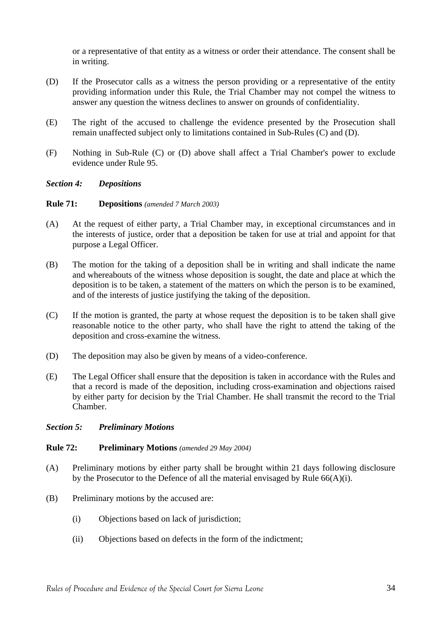or a representative of that entity as a witness or order their attendance. The consent shall be in writing.

- (D) If the Prosecutor calls as a witness the person providing or a representative of the entity providing information under this Rule, the Trial Chamber may not compel the witness to answer any question the witness declines to answer on grounds of confidentiality.
- (E) The right of the accused to challenge the evidence presented by the Prosecution shall remain unaffected subject only to limitations contained in Sub-Rules (C) and (D).
- (F) Nothing in Sub-Rule (C) or (D) above shall affect a Trial Chamber's power to exclude evidence under Rule 95.

#### *Section 4: Depositions*

#### **Rule 71: Depositions** *(amended 7 March 2003)*

- (A) At the request of either party, a Trial Chamber may, in exceptional circumstances and in the interests of justice, order that a deposition be taken for use at trial and appoint for that purpose a Legal Officer.
- (B) The motion for the taking of a deposition shall be in writing and shall indicate the name and whereabouts of the witness whose deposition is sought, the date and place at which the deposition is to be taken, a statement of the matters on which the person is to be examined, and of the interests of justice justifying the taking of the deposition.
- (C) If the motion is granted, the party at whose request the deposition is to be taken shall give reasonable notice to the other party, who shall have the right to attend the taking of the deposition and cross-examine the witness.
- (D) The deposition may also be given by means of a video-conference.
- (E) The Legal Officer shall ensure that the deposition is taken in accordance with the Rules and that a record is made of the deposition, including cross-examination and objections raised by either party for decision by the Trial Chamber. He shall transmit the record to the Trial Chamber.

#### *Section 5: Preliminary Motions*

#### **Rule 72: Preliminary Motions** *(amended 29 May 2004)*

- (A) Preliminary motions by either party shall be brought within 21 days following disclosure by the Prosecutor to the Defence of all the material envisaged by Rule 66(A)(i).
- (B) Preliminary motions by the accused are:
	- (i) Objections based on lack of jurisdiction;
	- (ii) Objections based on defects in the form of the indictment;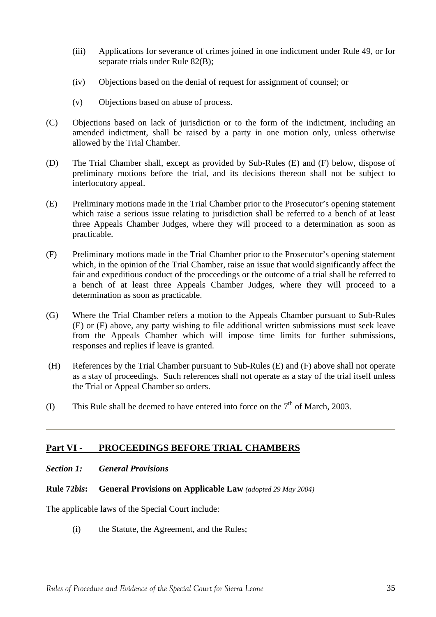- (iii) Applications for severance of crimes joined in one indictment under Rule 49, or for separate trials under Rule 82(B);
- (iv) Objections based on the denial of request for assignment of counsel; or
- (v) Objections based on abuse of process.
- (C) Objections based on lack of jurisdiction or to the form of the indictment, including an amended indictment, shall be raised by a party in one motion only, unless otherwise allowed by the Trial Chamber.
- (D) The Trial Chamber shall, except as provided by Sub-Rules (E) and (F) below, dispose of preliminary motions before the trial, and its decisions thereon shall not be subject to interlocutory appeal.
- (E) Preliminary motions made in the Trial Chamber prior to the Prosecutor's opening statement which raise a serious issue relating to jurisdiction shall be referred to a bench of at least three Appeals Chamber Judges, where they will proceed to a determination as soon as practicable.
- (F) Preliminary motions made in the Trial Chamber prior to the Prosecutor's opening statement which, in the opinion of the Trial Chamber, raise an issue that would significantly affect the fair and expeditious conduct of the proceedings or the outcome of a trial shall be referred to a bench of at least three Appeals Chamber Judges, where they will proceed to a determination as soon as practicable.
- (G) Where the Trial Chamber refers a motion to the Appeals Chamber pursuant to Sub-Rules (E) or (F) above, any party wishing to file additional written submissions must seek leave from the Appeals Chamber which will impose time limits for further submissions, responses and replies if leave is granted.
- (H) References by the Trial Chamber pursuant to Sub-Rules (E) and (F) above shall not operate as a stay of proceedings. Such references shall not operate as a stay of the trial itself unless the Trial or Appeal Chamber so orders.
- (I) This Rule shall be deemed to have entered into force on the  $7<sup>th</sup>$  of March, 2003.

## **Part VI - PROCEEDINGS BEFORE TRIAL CHAMBERS**

## *Section 1: General Provisions*

#### **Rule 72***bis***: General Provisions on Applicable Law** *(adopted 29 May 2004)*

The applicable laws of the Special Court include:

(i) the Statute, the Agreement, and the Rules;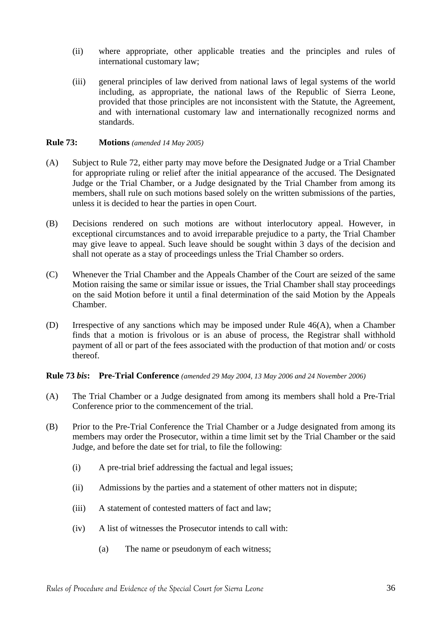- (ii) where appropriate, other applicable treaties and the principles and rules of international customary law;
- (iii) general principles of law derived from national laws of legal systems of the world including, as appropriate, the national laws of the Republic of Sierra Leone, provided that those principles are not inconsistent with the Statute, the Agreement, and with international customary law and internationally recognized norms and standards.

#### **Rule 73: Motions** *(amended 14 May 2005)*

- (A) Subject to Rule 72, either party may move before the Designated Judge or a Trial Chamber for appropriate ruling or relief after the initial appearance of the accused. The Designated Judge or the Trial Chamber, or a Judge designated by the Trial Chamber from among its members, shall rule on such motions based solely on the written submissions of the parties, unless it is decided to hear the parties in open Court.
- (B) Decisions rendered on such motions are without interlocutory appeal. However, in exceptional circumstances and to avoid irreparable prejudice to a party, the Trial Chamber may give leave to appeal. Such leave should be sought within 3 days of the decision and shall not operate as a stay of proceedings unless the Trial Chamber so orders.
- (C) Whenever the Trial Chamber and the Appeals Chamber of the Court are seized of the same Motion raising the same or similar issue or issues, the Trial Chamber shall stay proceedings on the said Motion before it until a final determination of the said Motion by the Appeals Chamber.
- (D) Irrespective of any sanctions which may be imposed under Rule 46(A), when a Chamber finds that a motion is frivolous or is an abuse of process, the Registrar shall withhold payment of all or part of the fees associated with the production of that motion and/ or costs thereof.

#### **Rule 73** *bis***: Pre-Trial Conference** *(amended 29 May 2004, 13 May 2006 and 24 November 2006)*

- (A) The Trial Chamber or a Judge designated from among its members shall hold a Pre-Trial Conference prior to the commencement of the trial.
- (B) Prior to the Pre-Trial Conference the Trial Chamber or a Judge designated from among its members may order the Prosecutor, within a time limit set by the Trial Chamber or the said Judge, and before the date set for trial, to file the following:
	- (i) A pre-trial brief addressing the factual and legal issues;
	- (ii) Admissions by the parties and a statement of other matters not in dispute;
	- (iii) A statement of contested matters of fact and law;
	- (iv) A list of witnesses the Prosecutor intends to call with:
		- (a) The name or pseudonym of each witness;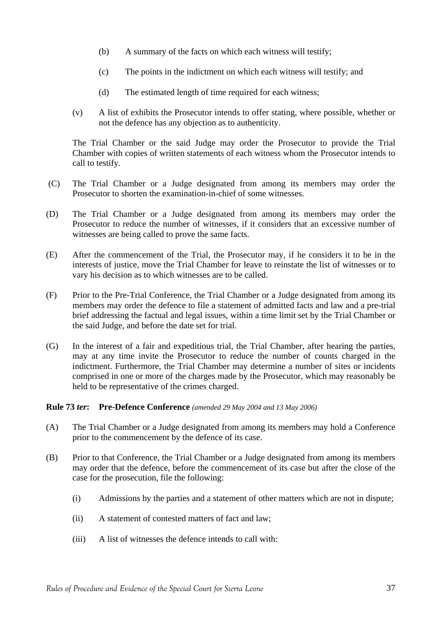- (b) A summary of the facts on which each witness will testify;
- (c) The points in the indictment on which each witness will testify; and
- (d) The estimated length of time required for each witness;
- (v) A list of exhibits the Prosecutor intends to offer stating, where possible, whether or not the defence has any objection as to authenticity.

The Trial Chamber or the said Judge may order the Prosecutor to provide the Trial Chamber with copies of written statements of each witness whom the Prosecutor intends to call to testify.

- (C) The Trial Chamber or a Judge designated from among its members may order the Prosecutor to shorten the examination-in-chief of some witnesses.
- (D) The Trial Chamber or a Judge designated from among its members may order the Prosecutor to reduce the number of witnesses, if it considers that an excessive number of witnesses are being called to prove the same facts.
- (E) After the commencement of the Trial, the Prosecutor may, if he considers it to be in the interests of justice, move the Trial Chamber for leave to reinstate the list of witnesses or to vary his decision as to which witnesses are to be called.
- (F) Prior to the Pre-Trial Conference, the Trial Chamber or a Judge designated from among its members may order the defence to file a statement of admitted facts and law and a pre-trial brief addressing the factual and legal issues, within a time limit set by the Trial Chamber or the said Judge, and before the date set for trial.
- (G) In the interest of a fair and expeditious trial, the Trial Chamber, after hearing the parties, may at any time invite the Prosecutor to reduce the number of counts charged in the indictment. Furthermore, the Trial Chamber may determine a number of sites or incidents comprised in one or more of the charges made by the Prosecutor, which may reasonably be held to be representative of the crimes charged.

#### **Rule 73** *ter***: Pre-Defence Conference** *(amended 29 May 2004 and 13 May 2006)*

- (A) The Trial Chamber or a Judge designated from among its members may hold a Conference prior to the commencement by the defence of its case.
- (B) Prior to that Conference, the Trial Chamber or a Judge designated from among its members may order that the defence, before the commencement of its case but after the close of the case for the prosecution, file the following:
	- (i) Admissions by the parties and a statement of other matters which are not in dispute;
	- (ii) A statement of contested matters of fact and law;
	- (iii) A list of witnesses the defence intends to call with: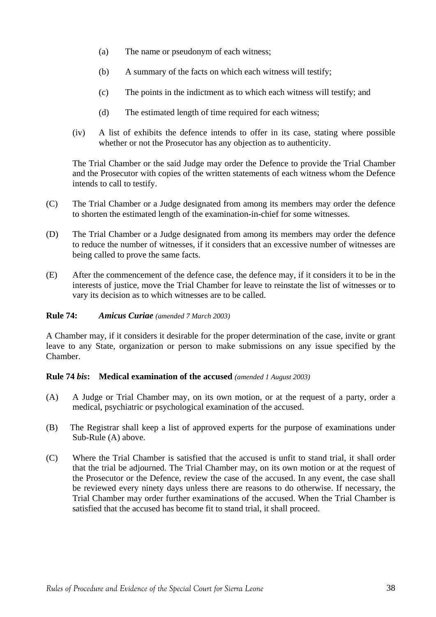- (a) The name or pseudonym of each witness;
- (b) A summary of the facts on which each witness will testify;
- (c) The points in the indictment as to which each witness will testify; and
- (d) The estimated length of time required for each witness;
- (iv) A list of exhibits the defence intends to offer in its case, stating where possible whether or not the Prosecutor has any objection as to authenticity.

The Trial Chamber or the said Judge may order the Defence to provide the Trial Chamber and the Prosecutor with copies of the written statements of each witness whom the Defence intends to call to testify.

- (C) The Trial Chamber or a Judge designated from among its members may order the defence to shorten the estimated length of the examination-in-chief for some witnesses.
- (D) The Trial Chamber or a Judge designated from among its members may order the defence to reduce the number of witnesses, if it considers that an excessive number of witnesses are being called to prove the same facts.
- (E) After the commencement of the defence case, the defence may, if it considers it to be in the interests of justice, move the Trial Chamber for leave to reinstate the list of witnesses or to vary its decision as to which witnesses are to be called.

#### **Rule 74:** *Amicus Curiae (amended 7 March 2003)*

A Chamber may, if it considers it desirable for the proper determination of the case, invite or grant leave to any State, organization or person to make submissions on any issue specified by the Chamber.

#### **Rule 74** *bis***: Medical examination of the accused** *(amended 1 August 2003)*

- (A) A Judge or Trial Chamber may, on its own motion, or at the request of a party, order a medical, psychiatric or psychological examination of the accused.
- (B) The Registrar shall keep a list of approved experts for the purpose of examinations under Sub-Rule (A) above.
- (C) Where the Trial Chamber is satisfied that the accused is unfit to stand trial, it shall order that the trial be adjourned. The Trial Chamber may, on its own motion or at the request of the Prosecutor or the Defence, review the case of the accused. In any event, the case shall be reviewed every ninety days unless there are reasons to do otherwise. If necessary, the Trial Chamber may order further examinations of the accused. When the Trial Chamber is satisfied that the accused has become fit to stand trial, it shall proceed.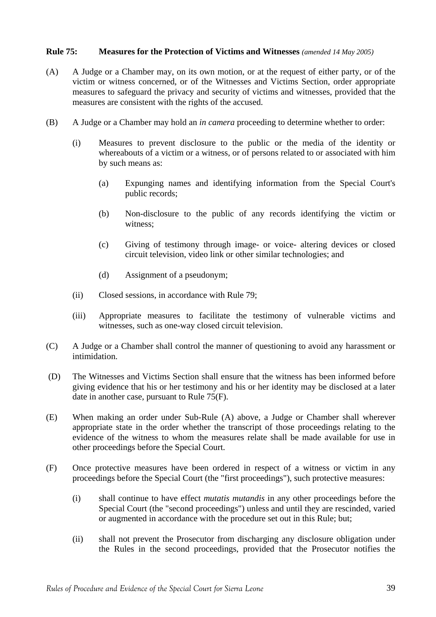### **Rule 75: Measures for the Protection of Victims and Witnesses** *(amended 14 May 2005)*

- (A) A Judge or a Chamber may, on its own motion, or at the request of either party, or of the victim or witness concerned, or of the Witnesses and Victims Section, order appropriate measures to safeguard the privacy and security of victims and witnesses, provided that the measures are consistent with the rights of the accused.
- (B) A Judge or a Chamber may hold an *in camera* proceeding to determine whether to order:
	- (i) Measures to prevent disclosure to the public or the media of the identity or whereabouts of a victim or a witness, or of persons related to or associated with him by such means as:
		- (a) Expunging names and identifying information from the Special Court's public records;
		- (b) Non-disclosure to the public of any records identifying the victim or witness;
		- (c) Giving of testimony through image- or voice- altering devices or closed circuit television, video link or other similar technologies; and
		- (d) Assignment of a pseudonym;
	- (ii) Closed sessions, in accordance with Rule 79;
	- (iii) Appropriate measures to facilitate the testimony of vulnerable victims and witnesses, such as one-way closed circuit television.
- (C) A Judge or a Chamber shall control the manner of questioning to avoid any harassment or intimidation.
- (D) The Witnesses and Victims Section shall ensure that the witness has been informed before giving evidence that his or her testimony and his or her identity may be disclosed at a later date in another case, pursuant to Rule 75(F).
- (E) When making an order under Sub-Rule (A) above, a Judge or Chamber shall wherever appropriate state in the order whether the transcript of those proceedings relating to the evidence of the witness to whom the measures relate shall be made available for use in other proceedings before the Special Court.
- (F) Once protective measures have been ordered in respect of a witness or victim in any proceedings before the Special Court (the "first proceedings"), such protective measures:
	- (i) shall continue to have effect *mutatis mutandis* in any other proceedings before the Special Court (the "second proceedings") unless and until they are rescinded, varied or augmented in accordance with the procedure set out in this Rule; but;
	- (ii) shall not prevent the Prosecutor from discharging any disclosure obligation under the Rules in the second proceedings, provided that the Prosecutor notifies the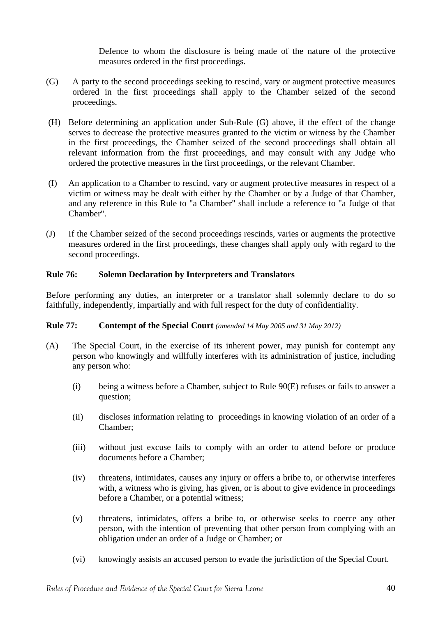Defence to whom the disclosure is being made of the nature of the protective measures ordered in the first proceedings.

- (G) A party to the second proceedings seeking to rescind, vary or augment protective measures ordered in the first proceedings shall apply to the Chamber seized of the second proceedings.
- (H) Before determining an application under Sub-Rule (G) above, if the effect of the change serves to decrease the protective measures granted to the victim or witness by the Chamber in the first proceedings, the Chamber seized of the second proceedings shall obtain all relevant information from the first proceedings, and may consult with any Judge who ordered the protective measures in the first proceedings, or the relevant Chamber.
- (I) An application to a Chamber to rescind, vary or augment protective measures in respect of a victim or witness may be dealt with either by the Chamber or by a Judge of that Chamber, and any reference in this Rule to "a Chamber" shall include a reference to "a Judge of that Chamber".
- (J) If the Chamber seized of the second proceedings rescinds, varies or augments the protective measures ordered in the first proceedings, these changes shall apply only with regard to the second proceedings.

## **Rule 76: Solemn Declaration by Interpreters and Translators**

Before performing any duties, an interpreter or a translator shall solemnly declare to do so faithfully, independently, impartially and with full respect for the duty of confidentiality.

## **Rule 77: Contempt of the Special Court** *(amended 14 May 2005 and 31 May 2012)*

- (A) The Special Court, in the exercise of its inherent power, may punish for contempt any person who knowingly and willfully interferes with its administration of justice, including any person who:
	- (i) being a witness before a Chamber, subject to Rule 90(E) refuses or fails to answer a question;
	- (ii) discloses information relating to proceedings in knowing violation of an order of a Chamber;
	- (iii) without just excuse fails to comply with an order to attend before or produce documents before a Chamber;
	- (iv) threatens, intimidates, causes any injury or offers a bribe to, or otherwise interferes with, a witness who is giving, has given, or is about to give evidence in proceedings before a Chamber, or a potential witness;
	- (v) threatens, intimidates, offers a bribe to, or otherwise seeks to coerce any other person, with the intention of preventing that other person from complying with an obligation under an order of a Judge or Chamber; or
	- (vi) knowingly assists an accused person to evade the jurisdiction of the Special Court.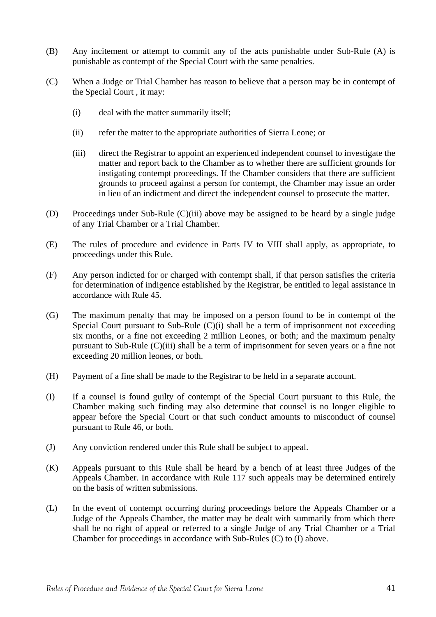- (B) Any incitement or attempt to commit any of the acts punishable under Sub-Rule (A) is punishable as contempt of the Special Court with the same penalties.
- (C) When a Judge or Trial Chamber has reason to believe that a person may be in contempt of the Special Court , it may:
	- (i) deal with the matter summarily itself;
	- (ii) refer the matter to the appropriate authorities of Sierra Leone; or
	- (iii) direct the Registrar to appoint an experienced independent counsel to investigate the matter and report back to the Chamber as to whether there are sufficient grounds for instigating contempt proceedings. If the Chamber considers that there are sufficient grounds to proceed against a person for contempt, the Chamber may issue an order in lieu of an indictment and direct the independent counsel to prosecute the matter.
- (D) Proceedings under Sub-Rule (C)(iii) above may be assigned to be heard by a single judge of any Trial Chamber or a Trial Chamber.
- (E) The rules of procedure and evidence in Parts IV to VIII shall apply, as appropriate, to proceedings under this Rule.
- (F) Any person indicted for or charged with contempt shall, if that person satisfies the criteria for determination of indigence established by the Registrar, be entitled to legal assistance in accordance with Rule 45.
- (G) The maximum penalty that may be imposed on a person found to be in contempt of the Special Court pursuant to Sub-Rule (C)(i) shall be a term of imprisonment not exceeding six months, or a fine not exceeding 2 million Leones, or both; and the maximum penalty pursuant to Sub-Rule (C)(iii) shall be a term of imprisonment for seven years or a fine not exceeding 20 million leones, or both.
- (H) Payment of a fine shall be made to the Registrar to be held in a separate account.
- (I) If a counsel is found guilty of contempt of the Special Court pursuant to this Rule, the Chamber making such finding may also determine that counsel is no longer eligible to appear before the Special Court or that such conduct amounts to misconduct of counsel pursuant to Rule 46, or both.
- (J) Any conviction rendered under this Rule shall be subject to appeal.
- (K) Appeals pursuant to this Rule shall be heard by a bench of at least three Judges of the Appeals Chamber. In accordance with Rule 117 such appeals may be determined entirely on the basis of written submissions.
- (L) In the event of contempt occurring during proceedings before the Appeals Chamber or a Judge of the Appeals Chamber, the matter may be dealt with summarily from which there shall be no right of appeal or referred to a single Judge of any Trial Chamber or a Trial Chamber for proceedings in accordance with Sub-Rules (C) to (I) above.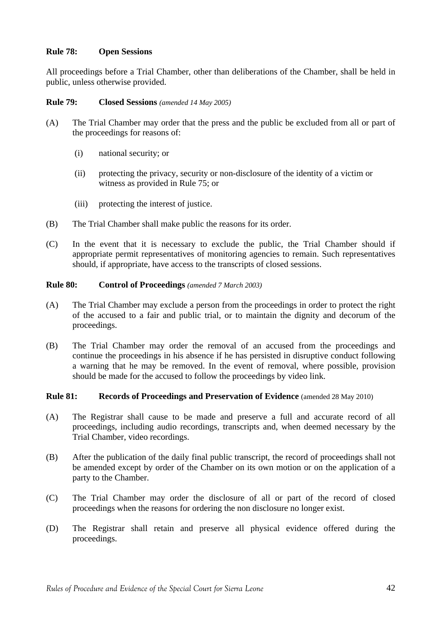## **Rule 78: Open Sessions**

All proceedings before a Trial Chamber, other than deliberations of the Chamber, shall be held in public, unless otherwise provided.

#### **Rule 79: Closed Sessions** *(amended 14 May 2005)*

- (A) The Trial Chamber may order that the press and the public be excluded from all or part of the proceedings for reasons of:
	- (i) national security; or
	- (ii) protecting the privacy, security or non-disclosure of the identity of a victim or witness as provided in Rule 75; or
	- (iii) protecting the interest of justice.
- (B) The Trial Chamber shall make public the reasons for its order.
- (C) In the event that it is necessary to exclude the public, the Trial Chamber should if appropriate permit representatives of monitoring agencies to remain. Such representatives should, if appropriate, have access to the transcripts of closed sessions.

#### **Rule 80: Control of Proceedings** *(amended 7 March 2003)*

- (A) The Trial Chamber may exclude a person from the proceedings in order to protect the right of the accused to a fair and public trial, or to maintain the dignity and decorum of the proceedings.
- (B) The Trial Chamber may order the removal of an accused from the proceedings and continue the proceedings in his absence if he has persisted in disruptive conduct following a warning that he may be removed. In the event of removal, where possible, provision should be made for the accused to follow the proceedings by video link.

#### **Rule 81: Records of Proceedings and Preservation of Evidence** (amended 28 May 2010)

- (A) The Registrar shall cause to be made and preserve a full and accurate record of all proceedings, including audio recordings, transcripts and, when deemed necessary by the Trial Chamber, video recordings.
- (B) After the publication of the daily final public transcript, the record of proceedings shall not be amended except by order of the Chamber on its own motion or on the application of a party to the Chamber.
- (C) The Trial Chamber may order the disclosure of all or part of the record of closed proceedings when the reasons for ordering the non disclosure no longer exist.
- (D) The Registrar shall retain and preserve all physical evidence offered during the proceedings.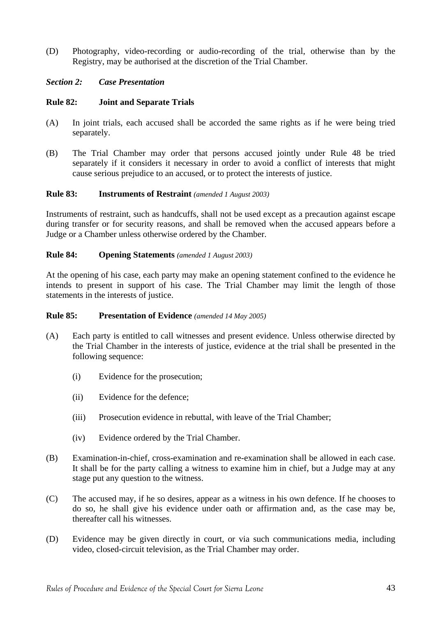(D) Photography, video-recording or audio-recording of the trial, otherwise than by the Registry, may be authorised at the discretion of the Trial Chamber.

### *Section 2: Case Presentation*

#### **Rule 82: Joint and Separate Trials**

- (A) In joint trials, each accused shall be accorded the same rights as if he were being tried separately.
- (B) The Trial Chamber may order that persons accused jointly under Rule 48 be tried separately if it considers it necessary in order to avoid a conflict of interests that might cause serious prejudice to an accused, or to protect the interests of justice.

#### **Rule 83: Instruments of Restraint** *(amended 1 August 2003)*

Instruments of restraint, such as handcuffs, shall not be used except as a precaution against escape during transfer or for security reasons, and shall be removed when the accused appears before a Judge or a Chamber unless otherwise ordered by the Chamber.

## **Rule 84: Opening Statements** *(amended 1 August 2003)*

At the opening of his case, each party may make an opening statement confined to the evidence he intends to present in support of his case. The Trial Chamber may limit the length of those statements in the interests of justice.

#### **Rule 85: Presentation of Evidence** *(amended 14 May 2005)*

- (A) Each party is entitled to call witnesses and present evidence. Unless otherwise directed by the Trial Chamber in the interests of justice, evidence at the trial shall be presented in the following sequence:
	- (i) Evidence for the prosecution;
	- (ii) Evidence for the defence;
	- (iii) Prosecution evidence in rebuttal, with leave of the Trial Chamber;
	- (iv) Evidence ordered by the Trial Chamber.
- (B) Examination-in-chief, cross-examination and re-examination shall be allowed in each case. It shall be for the party calling a witness to examine him in chief, but a Judge may at any stage put any question to the witness.
- (C) The accused may, if he so desires, appear as a witness in his own defence. If he chooses to do so, he shall give his evidence under oath or affirmation and, as the case may be, thereafter call his witnesses.
- (D) Evidence may be given directly in court, or via such communications media, including video, closed-circuit television, as the Trial Chamber may order.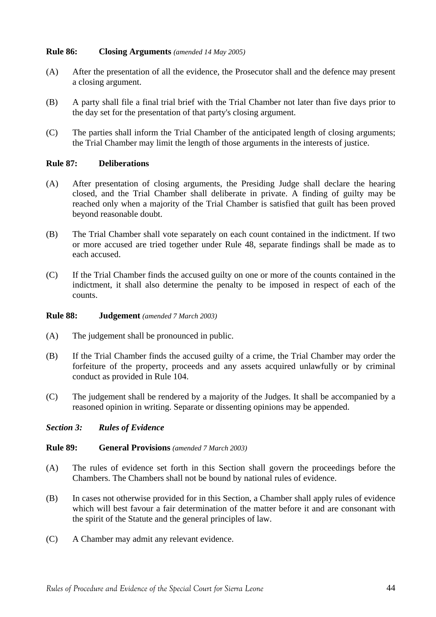### **Rule 86: Closing Arguments** *(amended 14 May 2005)*

- (A) After the presentation of all the evidence, the Prosecutor shall and the defence may present a closing argument.
- (B) A party shall file a final trial brief with the Trial Chamber not later than five days prior to the day set for the presentation of that party's closing argument.
- (C) The parties shall inform the Trial Chamber of the anticipated length of closing arguments; the Trial Chamber may limit the length of those arguments in the interests of justice.

## **Rule 87: Deliberations**

- (A) After presentation of closing arguments, the Presiding Judge shall declare the hearing closed, and the Trial Chamber shall deliberate in private. A finding of guilty may be reached only when a majority of the Trial Chamber is satisfied that guilt has been proved beyond reasonable doubt.
- (B) The Trial Chamber shall vote separately on each count contained in the indictment. If two or more accused are tried together under Rule 48, separate findings shall be made as to each accused.
- (C) If the Trial Chamber finds the accused guilty on one or more of the counts contained in the indictment, it shall also determine the penalty to be imposed in respect of each of the counts.

#### **Rule 88: Judgement** *(amended 7 March 2003)*

- (A) The judgement shall be pronounced in public.
- (B) If the Trial Chamber finds the accused guilty of a crime, the Trial Chamber may order the forfeiture of the property, proceeds and any assets acquired unlawfully or by criminal conduct as provided in Rule 104.
- (C) The judgement shall be rendered by a majority of the Judges. It shall be accompanied by a reasoned opinion in writing. Separate or dissenting opinions may be appended.

#### *Section 3: Rules of Evidence*

#### **Rule 89: General Provisions** *(amended 7 March 2003)*

- (A) The rules of evidence set forth in this Section shall govern the proceedings before the Chambers. The Chambers shall not be bound by national rules of evidence.
- (B) In cases not otherwise provided for in this Section, a Chamber shall apply rules of evidence which will best favour a fair determination of the matter before it and are consonant with the spirit of the Statute and the general principles of law.
- (C) A Chamber may admit any relevant evidence.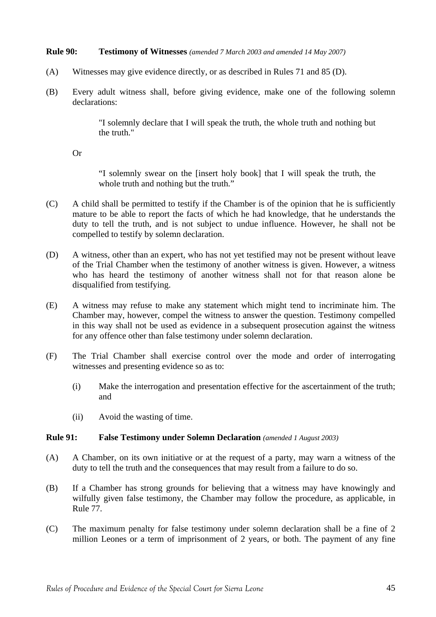#### **Rule 90: Testimony of Witnesses** *(amended 7 March 2003 and amended 14 May 2007)*

- (A) Witnesses may give evidence directly, or as described in Rules 71 and 85 (D).
- (B) Every adult witness shall, before giving evidence, make one of the following solemn declarations:

"I solemnly declare that I will speak the truth, the whole truth and nothing but the truth."

Or

"I solemnly swear on the [insert holy book] that I will speak the truth, the whole truth and nothing but the truth."

- (C) A child shall be permitted to testify if the Chamber is of the opinion that he is sufficiently mature to be able to report the facts of which he had knowledge, that he understands the duty to tell the truth, and is not subject to undue influence. However, he shall not be compelled to testify by solemn declaration.
- (D) A witness, other than an expert, who has not yet testified may not be present without leave of the Trial Chamber when the testimony of another witness is given. However, a witness who has heard the testimony of another witness shall not for that reason alone be disqualified from testifying.
- (E) A witness may refuse to make any statement which might tend to incriminate him. The Chamber may, however, compel the witness to answer the question. Testimony compelled in this way shall not be used as evidence in a subsequent prosecution against the witness for any offence other than false testimony under solemn declaration.
- (F) The Trial Chamber shall exercise control over the mode and order of interrogating witnesses and presenting evidence so as to:
	- (i) Make the interrogation and presentation effective for the ascertainment of the truth; and
	- (ii) Avoid the wasting of time.

#### **Rule 91: False Testimony under Solemn Declaration** *(amended 1 August 2003)*

- (A) A Chamber, on its own initiative or at the request of a party, may warn a witness of the duty to tell the truth and the consequences that may result from a failure to do so.
- (B) If a Chamber has strong grounds for believing that a witness may have knowingly and wilfully given false testimony, the Chamber may follow the procedure, as applicable, in Rule 77.
- (C) The maximum penalty for false testimony under solemn declaration shall be a fine of 2 million Leones or a term of imprisonment of 2 years, or both. The payment of any fine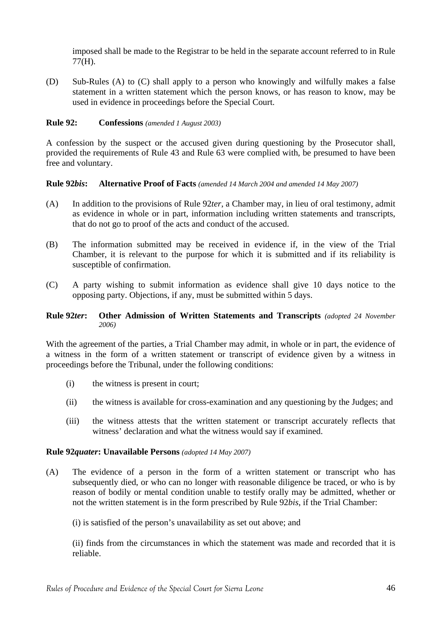imposed shall be made to the Registrar to be held in the separate account referred to in Rule 77(H).

(D) Sub-Rules (A) to (C) shall apply to a person who knowingly and wilfully makes a false statement in a written statement which the person knows, or has reason to know, may be used in evidence in proceedings before the Special Court.

### **Rule 92: Confessions** *(amended 1 August 2003)*

A confession by the suspect or the accused given during questioning by the Prosecutor shall, provided the requirements of Rule 43 and Rule 63 were complied with, be presumed to have been free and voluntary.

#### **Rule 92***bis***: Alternative Proof of Facts** *(amended 14 March 2004 and amended 14 May 2007)*

- (A) In addition to the provisions of Rule 92*ter*, a Chamber may, in lieu of oral testimony, admit as evidence in whole or in part, information including written statements and transcripts, that do not go to proof of the acts and conduct of the accused.
- (B) The information submitted may be received in evidence if, in the view of the Trial Chamber, it is relevant to the purpose for which it is submitted and if its reliability is susceptible of confirmation.
- (C) A party wishing to submit information as evidence shall give 10 days notice to the opposing party. Objections, if any, must be submitted within 5 days.

#### **Rule 92***ter***: Other Admission of Written Statements and Transcripts** *(adopted 24 November 2006)*

With the agreement of the parties, a Trial Chamber may admit, in whole or in part, the evidence of a witness in the form of a written statement or transcript of evidence given by a witness in proceedings before the Tribunal, under the following conditions:

- (i) the witness is present in court;
- (ii) the witness is available for cross-examination and any questioning by the Judges; and
- (iii) the witness attests that the written statement or transcript accurately reflects that witness' declaration and what the witness would say if examined.

#### **Rule 92***quater***: Unavailable Persons** *(adopted 14 May 2007)*

(A) The evidence of a person in the form of a written statement or transcript who has subsequently died, or who can no longer with reasonable diligence be traced, or who is by reason of bodily or mental condition unable to testify orally may be admitted, whether or not the written statement is in the form prescribed by Rule 92*bis*, if the Trial Chamber:

(i) is satisfied of the person's unavailability as set out above; and

(ii) finds from the circumstances in which the statement was made and recorded that it is reliable.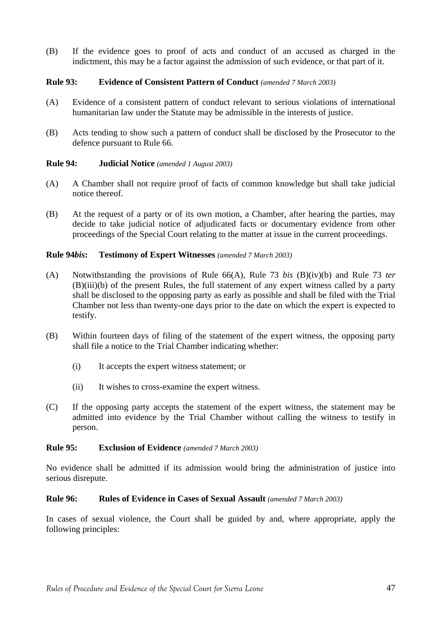(B) If the evidence goes to proof of acts and conduct of an accused as charged in the indictment, this may be a factor against the admission of such evidence, or that part of it.

#### **Rule 93: Evidence of Consistent Pattern of Conduct** *(amended 7 March 2003)*

- (A) Evidence of a consistent pattern of conduct relevant to serious violations of international humanitarian law under the Statute may be admissible in the interests of justice.
- (B) Acts tending to show such a pattern of conduct shall be disclosed by the Prosecutor to the defence pursuant to Rule 66.

#### **Rule 94: Judicial Notice** *(amended 1 August 2003)*

- (A) A Chamber shall not require proof of facts of common knowledge but shall take judicial notice thereof.
- (B) At the request of a party or of its own motion, a Chamber, after hearing the parties, may decide to take judicial notice of adjudicated facts or documentary evidence from other proceedings of the Special Court relating to the matter at issue in the current proceedings.

#### **Rule 94***bis***: Testimony of Expert Witnesses** *(amended 7 March 2003)*

- (A) Notwithstanding the provisions of Rule 66(A), Rule 73 *bis* (B)(iv)(b) and Rule 73 *ter* (B)(iii)(b) of the present Rules, the full statement of any expert witness called by a party shall be disclosed to the opposing party as early as possible and shall be filed with the Trial Chamber not less than twenty-one days prior to the date on which the expert is expected to testify.
- (B) Within fourteen days of filing of the statement of the expert witness, the opposing party shall file a notice to the Trial Chamber indicating whether:
	- (i) It accepts the expert witness statement; or
	- (ii) It wishes to cross-examine the expert witness.
- (C) If the opposing party accepts the statement of the expert witness, the statement may be admitted into evidence by the Trial Chamber without calling the witness to testify in person.

#### **Rule 95: Exclusion of Evidence** *(amended 7 March 2003)*

No evidence shall be admitted if its admission would bring the administration of justice into serious disrepute.

#### **Rule 96: Rules of Evidence in Cases of Sexual Assault** *(amended 7 March 2003)*

In cases of sexual violence, the Court shall be guided by and, where appropriate, apply the following principles: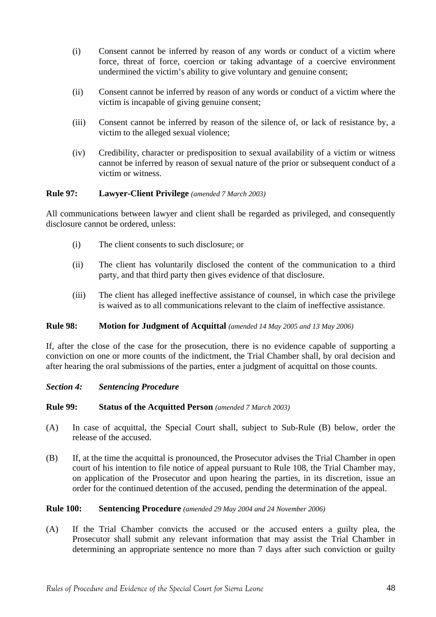- (i) Consent cannot be inferred by reason of any words or conduct of a victim where force, threat of force, coercion or taking advantage of a coercive environment undermined the victim's ability to give voluntary and genuine consent;
- (ii) Consent cannot be inferred by reason of any words or conduct of a victim where the victim is incapable of giving genuine consent;
- (iii) Consent cannot be inferred by reason of the silence of, or lack of resistance by, a victim to the alleged sexual violence;
- (iv) Credibility, character or predisposition to sexual availability of a victim or witness cannot be inferred by reason of sexual nature of the prior or subsequent conduct of a victim or witness.

## **Rule 97: Lawyer-Client Privilege** *(amended 7 March 2003)*

All communications between lawyer and client shall be regarded as privileged, and consequently disclosure cannot be ordered, unless:

- (i) The client consents to such disclosure; or
- (ii) The client has voluntarily disclosed the content of the communication to a third party, and that third party then gives evidence of that disclosure.
- (iii) The client has alleged ineffective assistance of counsel, in which case the privilege is waived as to all communications relevant to the claim of ineffective assistance.

## **Rule 98: Motion for Judgment of Acquittal** *(amended 14 May 2005 and 13 May 2006)*

If, after the close of the case for the prosecution, there is no evidence capable of supporting a conviction on one or more counts of the indictment, the Trial Chamber shall, by oral decision and after hearing the oral submissions of the parties, enter a judgment of acquittal on those counts.

## *Section 4: Sentencing Procedure*

#### **Rule 99: Status of the Acquitted Person** *(amended 7 March 2003)*

- (A) In case of acquittal, the Special Court shall, subject to Sub-Rule (B) below, order the release of the accused.
- (B) If, at the time the acquittal is pronounced, the Prosecutor advises the Trial Chamber in open court of his intention to file notice of appeal pursuant to Rule 108, the Trial Chamber may, on application of the Prosecutor and upon hearing the parties, in its discretion, issue an order for the continued detention of the accused, pending the determination of the appeal.

## **Rule 100: Sentencing Procedure** *(amended 29 May 2004 and 24 November 2006)*

(A) If the Trial Chamber convicts the accused or the accused enters a guilty plea, the Prosecutor shall submit any relevant information that may assist the Trial Chamber in determining an appropriate sentence no more than 7 days after such conviction or guilty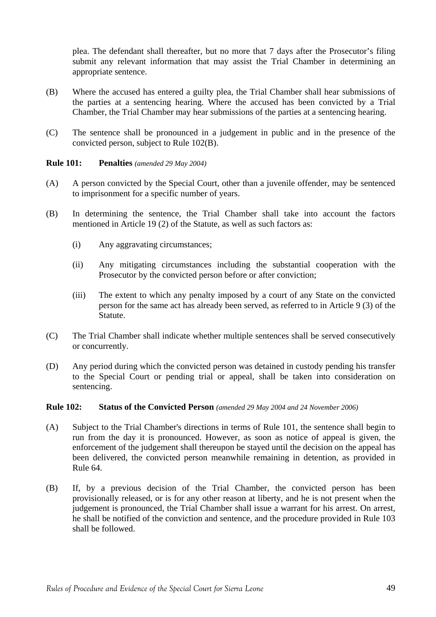plea. The defendant shall thereafter, but no more that 7 days after the Prosecutor's filing submit any relevant information that may assist the Trial Chamber in determining an appropriate sentence.

- (B) Where the accused has entered a guilty plea, the Trial Chamber shall hear submissions of the parties at a sentencing hearing. Where the accused has been convicted by a Trial Chamber, the Trial Chamber may hear submissions of the parties at a sentencing hearing.
- (C) The sentence shall be pronounced in a judgement in public and in the presence of the convicted person, subject to Rule 102(B).

#### **Rule 101: Penalties** *(amended 29 May 2004)*

- (A) A person convicted by the Special Court, other than a juvenile offender, may be sentenced to imprisonment for a specific number of years.
- (B) In determining the sentence, the Trial Chamber shall take into account the factors mentioned in Article 19 (2) of the Statute, as well as such factors as:
	- (i) Any aggravating circumstances;
	- (ii) Any mitigating circumstances including the substantial cooperation with the Prosecutor by the convicted person before or after conviction;
	- (iii) The extent to which any penalty imposed by a court of any State on the convicted person for the same act has already been served, as referred to in Article 9 (3) of the Statute.
- (C) The Trial Chamber shall indicate whether multiple sentences shall be served consecutively or concurrently.
- (D) Any period during which the convicted person was detained in custody pending his transfer to the Special Court or pending trial or appeal, shall be taken into consideration on sentencing.

#### **Rule 102: Status of the Convicted Person** *(amended 29 May 2004 and 24 November 2006)*

- (A) Subject to the Trial Chamber's directions in terms of Rule 101, the sentence shall begin to run from the day it is pronounced. However, as soon as notice of appeal is given, the enforcement of the judgement shall thereupon be stayed until the decision on the appeal has been delivered, the convicted person meanwhile remaining in detention, as provided in Rule 64.
- (B) If, by a previous decision of the Trial Chamber, the convicted person has been provisionally released, or is for any other reason at liberty, and he is not present when the judgement is pronounced, the Trial Chamber shall issue a warrant for his arrest. On arrest, he shall be notified of the conviction and sentence, and the procedure provided in Rule 103 shall be followed.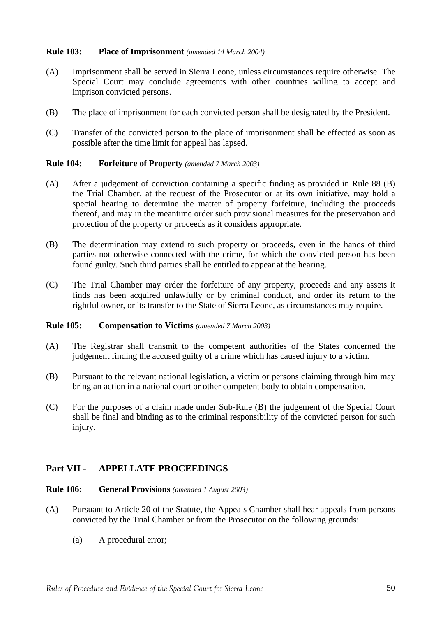### **Rule 103: Place of Imprisonment** *(amended 14 March 2004)*

- (A) Imprisonment shall be served in Sierra Leone, unless circumstances require otherwise. The Special Court may conclude agreements with other countries willing to accept and imprison convicted persons.
- (B) The place of imprisonment for each convicted person shall be designated by the President.
- (C) Transfer of the convicted person to the place of imprisonment shall be effected as soon as possible after the time limit for appeal has lapsed.

## **Rule 104: Forfeiture of Property** *(amended 7 March 2003)*

- (A) After a judgement of conviction containing a specific finding as provided in Rule 88 (B) the Trial Chamber, at the request of the Prosecutor or at its own initiative, may hold a special hearing to determine the matter of property forfeiture, including the proceeds thereof, and may in the meantime order such provisional measures for the preservation and protection of the property or proceeds as it considers appropriate.
- (B) The determination may extend to such property or proceeds, even in the hands of third parties not otherwise connected with the crime, for which the convicted person has been found guilty. Such third parties shall be entitled to appear at the hearing.
- (C) The Trial Chamber may order the forfeiture of any property, proceeds and any assets it finds has been acquired unlawfully or by criminal conduct, and order its return to the rightful owner, or its transfer to the State of Sierra Leone, as circumstances may require.

## **Rule 105: Compensation to Victims** *(amended 7 March 2003)*

- (A) The Registrar shall transmit to the competent authorities of the States concerned the judgement finding the accused guilty of a crime which has caused injury to a victim.
- (B) Pursuant to the relevant national legislation, a victim or persons claiming through him may bring an action in a national court or other competent body to obtain compensation.
- (C) For the purposes of a claim made under Sub-Rule (B) the judgement of the Special Court shall be final and binding as to the criminal responsibility of the convicted person for such injury.

# **Part VII - APPELLATE PROCEEDINGS**

#### **Rule 106: General Provisions** *(amended 1 August 2003)*

- (A) Pursuant to Article 20 of the Statute, the Appeals Chamber shall hear appeals from persons convicted by the Trial Chamber or from the Prosecutor on the following grounds:
	- (a) A procedural error;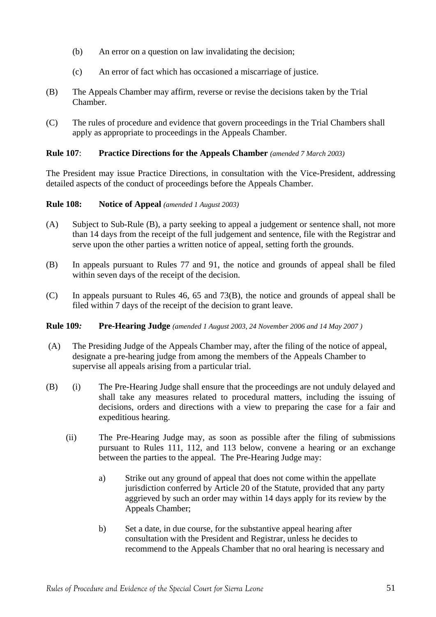- (b) An error on a question on law invalidating the decision;
- (c) An error of fact which has occasioned a miscarriage of justice.
- (B) The Appeals Chamber may affirm, reverse or revise the decisions taken by the Trial Chamber.
- (C) The rules of procedure and evidence that govern proceedings in the Trial Chambers shall apply as appropriate to proceedings in the Appeals Chamber.

#### **Rule 107**: **Practice Directions for the Appeals Chamber** *(amended 7 March 2003)*

The President may issue Practice Directions, in consultation with the Vice-President, addressing detailed aspects of the conduct of proceedings before the Appeals Chamber.

#### **Rule 108: Notice of Appeal** *(amended 1 August 2003)*

- (A) Subject to Sub-Rule (B), a party seeking to appeal a judgement or sentence shall, not more than 14 days from the receipt of the full judgement and sentence, file with the Registrar and serve upon the other parties a written notice of appeal, setting forth the grounds.
- (B) In appeals pursuant to Rules 77 and 91, the notice and grounds of appeal shall be filed within seven days of the receipt of the decision.
- (C) In appeals pursuant to Rules 46, 65 and 73(B), the notice and grounds of appeal shall be filed within 7 days of the receipt of the decision to grant leave.

## **Rule 109***:* **Pre-Hearing Judge** *(amended 1 August 2003, 24 November 2006 and 14 May 2007 )*

- (A) The Presiding Judge of the Appeals Chamber may, after the filing of the notice of appeal, designate a pre-hearing judge from among the members of the Appeals Chamber to supervise all appeals arising from a particular trial.
- (B) (i) The Pre-Hearing Judge shall ensure that the proceedings are not unduly delayed and shall take any measures related to procedural matters, including the issuing of decisions, orders and directions with a view to preparing the case for a fair and expeditious hearing.
	- (ii) The Pre-Hearing Judge may, as soon as possible after the filing of submissions pursuant to Rules 111, 112, and 113 below, convene a hearing or an exchange between the parties to the appeal. The Pre-Hearing Judge may:
		- a) Strike out any ground of appeal that does not come within the appellate jurisdiction conferred by Article 20 of the Statute, provided that any party aggrieved by such an order may within 14 days apply for its review by the Appeals Chamber;
		- b) Set a date, in due course, for the substantive appeal hearing after consultation with the President and Registrar, unless he decides to recommend to the Appeals Chamber that no oral hearing is necessary and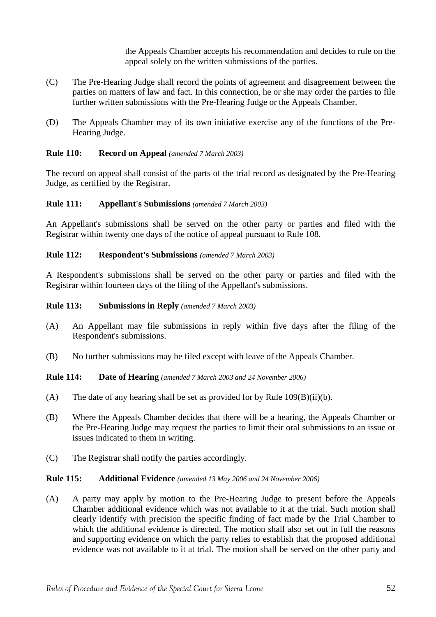the Appeals Chamber accepts his recommendation and decides to rule on the appeal solely on the written submissions of the parties.

- (C) The Pre-Hearing Judge shall record the points of agreement and disagreement between the parties on matters of law and fact. In this connection, he or she may order the parties to file further written submissions with the Pre-Hearing Judge or the Appeals Chamber.
- (D) The Appeals Chamber may of its own initiative exercise any of the functions of the Pre-Hearing Judge.

#### **Rule 110: Record on Appeal** *(amended 7 March 2003)*

The record on appeal shall consist of the parts of the trial record as designated by the Pre-Hearing Judge, as certified by the Registrar.

#### **Rule 111: Appellant's Submissions** *(amended 7 March 2003)*

An Appellant's submissions shall be served on the other party or parties and filed with the Registrar within twenty one days of the notice of appeal pursuant to Rule 108.

#### **Rule 112: Respondent's Submissions** *(amended 7 March 2003)*

A Respondent's submissions shall be served on the other party or parties and filed with the Registrar within fourteen days of the filing of the Appellant's submissions.

#### **Rule 113: Submissions in Reply** *(amended 7 March 2003)*

- (A) An Appellant may file submissions in reply within five days after the filing of the Respondent's submissions.
- (B) No further submissions may be filed except with leave of the Appeals Chamber.

#### **Rule 114: Date of Hearing** *(amended 7 March 2003 and 24 November 2006)*

- (A) The date of any hearing shall be set as provided for by Rule  $109(B)(ii)(b)$ .
- (B) Where the Appeals Chamber decides that there will be a hearing, the Appeals Chamber or the Pre-Hearing Judge may request the parties to limit their oral submissions to an issue or issues indicated to them in writing.
- (C) The Registrar shall notify the parties accordingly.

#### **Rule 115: Additional Evidence** *(amended 13 May 2006 and 24 November 2006)*

(A) A party may apply by motion to the Pre-Hearing Judge to present before the Appeals Chamber additional evidence which was not available to it at the trial. Such motion shall clearly identify with precision the specific finding of fact made by the Trial Chamber to which the additional evidence is directed. The motion shall also set out in full the reasons and supporting evidence on which the party relies to establish that the proposed additional evidence was not available to it at trial. The motion shall be served on the other party and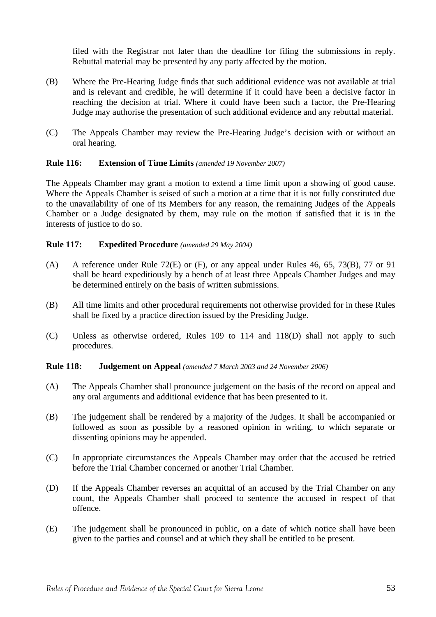filed with the Registrar not later than the deadline for filing the submissions in reply. Rebuttal material may be presented by any party affected by the motion.

- (B) Where the Pre-Hearing Judge finds that such additional evidence was not available at trial and is relevant and credible, he will determine if it could have been a decisive factor in reaching the decision at trial. Where it could have been such a factor, the Pre-Hearing Judge may authorise the presentation of such additional evidence and any rebuttal material.
- (C) The Appeals Chamber may review the Pre-Hearing Judge's decision with or without an oral hearing.

#### **Rule 116: Extension of Time Limits** *(amended 19 November 2007)*

The Appeals Chamber may grant a motion to extend a time limit upon a showing of good cause. Where the Appeals Chamber is seised of such a motion at a time that it is not fully constituted due to the unavailability of one of its Members for any reason, the remaining Judges of the Appeals Chamber or a Judge designated by them, may rule on the motion if satisfied that it is in the interests of justice to do so.

### **Rule 117: Expedited Procedure** *(amended 29 May 2004)*

- (A) A reference under Rule 72(E) or (F), or any appeal under Rules 46, 65, 73(B), 77 or 91 shall be heard expeditiously by a bench of at least three Appeals Chamber Judges and may be determined entirely on the basis of written submissions.
- (B) All time limits and other procedural requirements not otherwise provided for in these Rules shall be fixed by a practice direction issued by the Presiding Judge.
- (C) Unless as otherwise ordered, Rules 109 to 114 and 118(D) shall not apply to such procedures.

#### **Rule 118: Judgement on Appeal** *(amended 7 March 2003 and 24 November 2006)*

- (A) The Appeals Chamber shall pronounce judgement on the basis of the record on appeal and any oral arguments and additional evidence that has been presented to it.
- (B) The judgement shall be rendered by a majority of the Judges. It shall be accompanied or followed as soon as possible by a reasoned opinion in writing, to which separate or dissenting opinions may be appended.
- (C) In appropriate circumstances the Appeals Chamber may order that the accused be retried before the Trial Chamber concerned or another Trial Chamber.
- (D) If the Appeals Chamber reverses an acquittal of an accused by the Trial Chamber on any count, the Appeals Chamber shall proceed to sentence the accused in respect of that offence.
- (E) The judgement shall be pronounced in public, on a date of which notice shall have been given to the parties and counsel and at which they shall be entitled to be present.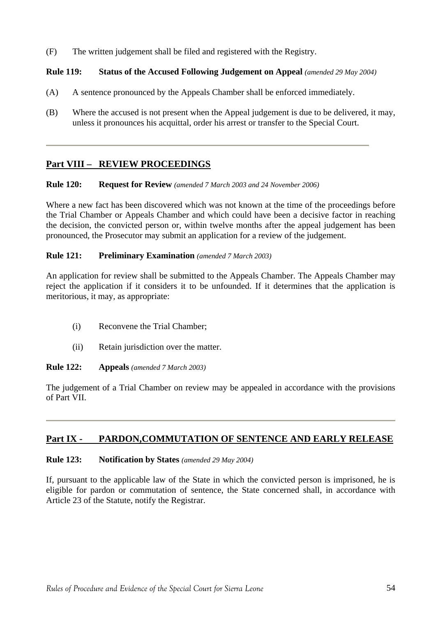(F) The written judgement shall be filed and registered with the Registry.

## **Rule 119: Status of the Accused Following Judgement on Appeal** *(amended 29 May 2004)*

- (A) A sentence pronounced by the Appeals Chamber shall be enforced immediately.
- (B) Where the accused is not present when the Appeal judgement is due to be delivered, it may, unless it pronounces his acquittal, order his arrest or transfer to the Special Court.

# **Part VIII – REVIEW PROCEEDINGS**

#### **Rule 120: Request for Review** *(amended 7 March 2003 and 24 November 2006)*

Where a new fact has been discovered which was not known at the time of the proceedings before the Trial Chamber or Appeals Chamber and which could have been a decisive factor in reaching the decision, the convicted person or, within twelve months after the appeal judgement has been pronounced, the Prosecutor may submit an application for a review of the judgement.

#### **Rule 121: Preliminary Examination** *(amended 7 March 2003)*

An application for review shall be submitted to the Appeals Chamber. The Appeals Chamber may reject the application if it considers it to be unfounded. If it determines that the application is meritorious, it may, as appropriate:

- (i) Reconvene the Trial Chamber;
- (ii) Retain jurisdiction over the matter.

#### **Rule 122: Appeals** *(amended 7 March 2003)*

The judgement of a Trial Chamber on review may be appealed in accordance with the provisions of Part VII.

# **Part IX - PARDON,COMMUTATION OF SENTENCE AND EARLY RELEASE**

#### **Rule 123: Notification by States** *(amended 29 May 2004)*

If, pursuant to the applicable law of the State in which the convicted person is imprisoned, he is eligible for pardon or commutation of sentence, the State concerned shall, in accordance with Article 23 of the Statute, notify the Registrar.